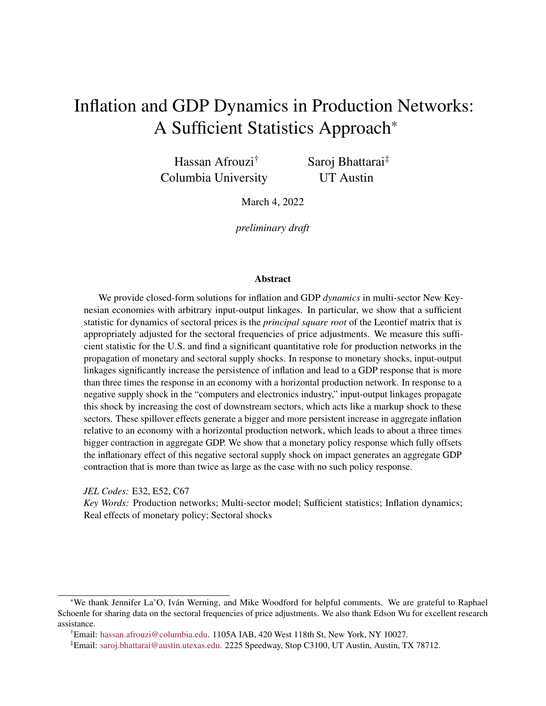# Inflation and GDP Dynamics in Production Networks: A Sufficient Statistics Approach\*

Hassan Afrouzi† Columbia University Saroj Bhattarai‡ UT Austin

March 4, 2022

*preliminary draft*

#### Abstract

We provide closed-form solutions for inflation and GDP *dynamics* in multi-sector New Keynesian economies with arbitrary input-output linkages. In particular, we show that a sufficient statistic for dynamics of sectoral prices is the *principal square root* of the Leontief matrix that is appropriately adjusted for the sectoral frequencies of price adjustments. We measure this sufficient statistic for the U.S. and find a significant quantitative role for production networks in the propagation of monetary and sectoral supply shocks. In response to monetary shocks, input-output linkages significantly increase the persistence of inflation and lead to a GDP response that is more than three times the response in an economy with a horizontal production network. In response to a negative supply shock in the "computers and electronics industry," input-output linkages propagate this shock by increasing the cost of downstream sectors, which acts like a markup shock to these sectors. These spillover effects generate a bigger and more persistent increase in aggregate inflation relative to an economy with a horizontal production network, which leads to about a three times bigger contraction in aggregate GDP. We show that a monetary policy response which fully offsets the inflationary effect of this negative sectoral supply shock on impact generates an aggregate GDP contraction that is more than twice as large as the case with no such policy response.

*JEL Codes:* E32, E52, C67

*Key Words:* Production networks; Multi-sector model; Sufficient statistics; Inflation dynamics; Real effects of monetary policy; Sectoral shocks

<sup>\*</sup>We thank Jennifer La'O, Iván Werning, and Mike Woodford for helpful comments. We are grateful to Raphael Schoenle for sharing data on the sectoral frequencies of price adjustments. We also thank Edson Wu for excellent research assistance.

<sup>†</sup>Email: [hassan.afrouzi@columbia.edu.](mailto:hassan.afrouzi@columbia.edu) 1105A IAB, 420 West 118th St, New York, NY 10027.

<sup>‡</sup>Email: [saroj.bhattarai@austin.utexas.edu.](mailto:saroj.bhattarai@austin.utexas.edu) 2225 Speedway, Stop C3100, UT Austin, Austin, TX 78712.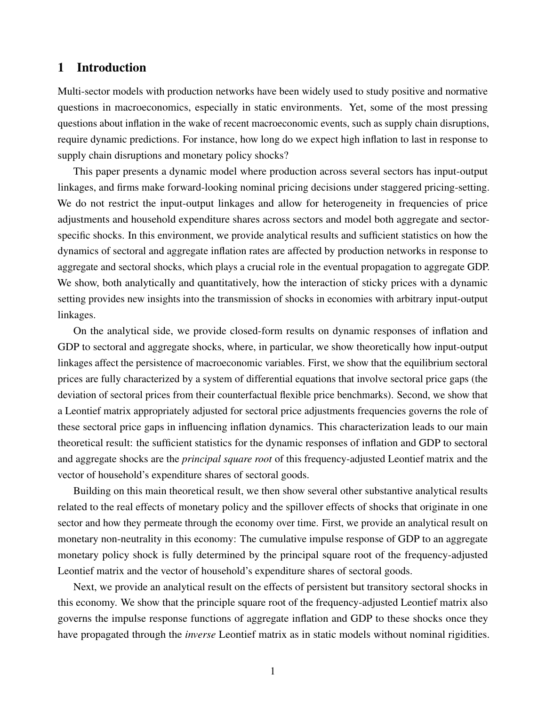## 1 Introduction

Multi-sector models with production networks have been widely used to study positive and normative questions in macroeconomics, especially in static environments. Yet, some of the most pressing questions about inflation in the wake of recent macroeconomic events, such as supply chain disruptions, require dynamic predictions. For instance, how long do we expect high inflation to last in response to supply chain disruptions and monetary policy shocks?

This paper presents a dynamic model where production across several sectors has input-output linkages, and firms make forward-looking nominal pricing decisions under staggered pricing-setting. We do not restrict the input-output linkages and allow for heterogeneity in frequencies of price adjustments and household expenditure shares across sectors and model both aggregate and sectorspecific shocks. In this environment, we provide analytical results and sufficient statistics on how the dynamics of sectoral and aggregate inflation rates are affected by production networks in response to aggregate and sectoral shocks, which plays a crucial role in the eventual propagation to aggregate GDP. We show, both analytically and quantitatively, how the interaction of sticky prices with a dynamic setting provides new insights into the transmission of shocks in economies with arbitrary input-output linkages.

On the analytical side, we provide closed-form results on dynamic responses of inflation and GDP to sectoral and aggregate shocks, where, in particular, we show theoretically how input-output linkages affect the persistence of macroeconomic variables. First, we show that the equilibrium sectoral prices are fully characterized by a system of differential equations that involve sectoral price gaps (the deviation of sectoral prices from their counterfactual flexible price benchmarks). Second, we show that a Leontief matrix appropriately adjusted for sectoral price adjustments frequencies governs the role of these sectoral price gaps in influencing inflation dynamics. This characterization leads to our main theoretical result: the sufficient statistics for the dynamic responses of inflation and GDP to sectoral and aggregate shocks are the *principal square root* of this frequency-adjusted Leontief matrix and the vector of household's expenditure shares of sectoral goods.

Building on this main theoretical result, we then show several other substantive analytical results related to the real effects of monetary policy and the spillover effects of shocks that originate in one sector and how they permeate through the economy over time. First, we provide an analytical result on monetary non-neutrality in this economy: The cumulative impulse response of GDP to an aggregate monetary policy shock is fully determined by the principal square root of the frequency-adjusted Leontief matrix and the vector of household's expenditure shares of sectoral goods.

Next, we provide an analytical result on the effects of persistent but transitory sectoral shocks in this economy. We show that the principle square root of the frequency-adjusted Leontief matrix also governs the impulse response functions of aggregate inflation and GDP to these shocks once they have propagated through the *inverse* Leontief matrix as in static models without nominal rigidities.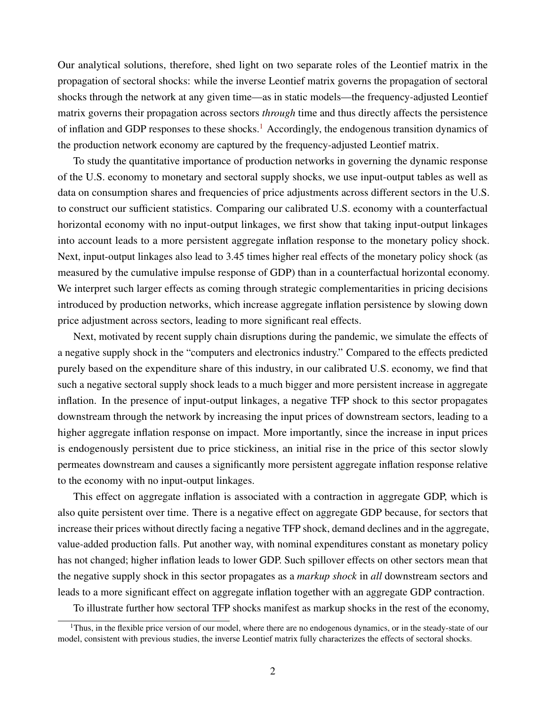Our analytical solutions, therefore, shed light on two separate roles of the Leontief matrix in the propagation of sectoral shocks: while the inverse Leontief matrix governs the propagation of sectoral shocks through the network at any given time—as in static models—the frequency-adjusted Leontief matrix governs their propagation across sectors *through* time and thus directly affects the persistence of inflation and GDP responses to these shocks.<sup>[1](#page-2-0)</sup> Accordingly, the endogenous transition dynamics of the production network economy are captured by the frequency-adjusted Leontief matrix.

To study the quantitative importance of production networks in governing the dynamic response of the U.S. economy to monetary and sectoral supply shocks, we use input-output tables as well as data on consumption shares and frequencies of price adjustments across different sectors in the U.S. to construct our sufficient statistics. Comparing our calibrated U.S. economy with a counterfactual horizontal economy with no input-output linkages, we first show that taking input-output linkages into account leads to a more persistent aggregate inflation response to the monetary policy shock. Next, input-output linkages also lead to 3.45 times higher real effects of the monetary policy shock (as measured by the cumulative impulse response of GDP) than in a counterfactual horizontal economy. We interpret such larger effects as coming through strategic complementarities in pricing decisions introduced by production networks, which increase aggregate inflation persistence by slowing down price adjustment across sectors, leading to more significant real effects.

Next, motivated by recent supply chain disruptions during the pandemic, we simulate the effects of a negative supply shock in the "computers and electronics industry." Compared to the effects predicted purely based on the expenditure share of this industry, in our calibrated U.S. economy, we find that such a negative sectoral supply shock leads to a much bigger and more persistent increase in aggregate inflation. In the presence of input-output linkages, a negative TFP shock to this sector propagates downstream through the network by increasing the input prices of downstream sectors, leading to a higher aggregate inflation response on impact. More importantly, since the increase in input prices is endogenously persistent due to price stickiness, an initial rise in the price of this sector slowly permeates downstream and causes a significantly more persistent aggregate inflation response relative to the economy with no input-output linkages.

This effect on aggregate inflation is associated with a contraction in aggregate GDP, which is also quite persistent over time. There is a negative effect on aggregate GDP because, for sectors that increase their prices without directly facing a negative TFP shock, demand declines and in the aggregate, value-added production falls. Put another way, with nominal expenditures constant as monetary policy has not changed; higher inflation leads to lower GDP. Such spillover effects on other sectors mean that the negative supply shock in this sector propagates as a *markup shock* in *all* downstream sectors and leads to a more significant effect on aggregate inflation together with an aggregate GDP contraction.

<span id="page-2-0"></span>To illustrate further how sectoral TFP shocks manifest as markup shocks in the rest of the economy,

<sup>&</sup>lt;sup>1</sup>Thus, in the flexible price version of our model, where there are no endogenous dynamics, or in the steady-state of our model, consistent with previous studies, the inverse Leontief matrix fully characterizes the effects of sectoral shocks.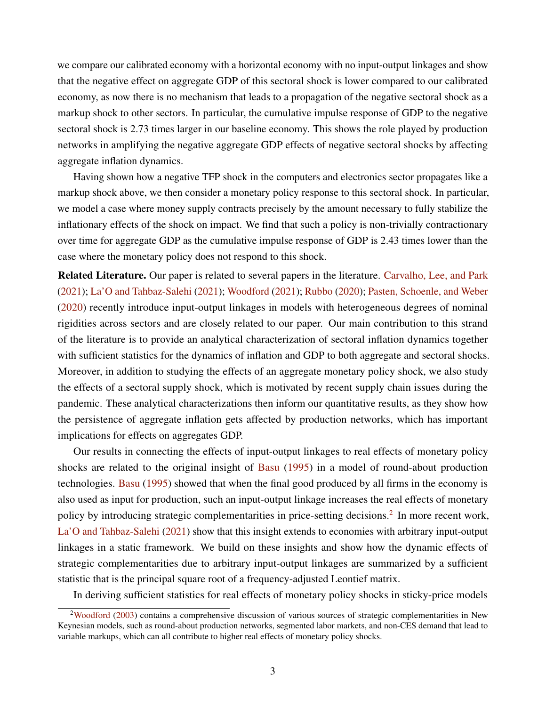we compare our calibrated economy with a horizontal economy with no input-output linkages and show that the negative effect on aggregate GDP of this sectoral shock is lower compared to our calibrated economy, as now there is no mechanism that leads to a propagation of the negative sectoral shock as a markup shock to other sectors. In particular, the cumulative impulse response of GDP to the negative sectoral shock is 2.73 times larger in our baseline economy. This shows the role played by production networks in amplifying the negative aggregate GDP effects of negative sectoral shocks by affecting aggregate inflation dynamics.

Having shown how a negative TFP shock in the computers and electronics sector propagates like a markup shock above, we then consider a monetary policy response to this sectoral shock. In particular, we model a case where money supply contracts precisely by the amount necessary to fully stabilize the inflationary effects of the shock on impact. We find that such a policy is non-trivially contractionary over time for aggregate GDP as the cumulative impulse response of GDP is 2.43 times lower than the case where the monetary policy does not respond to this shock.

Related Literature. Our paper is related to several papers in the literature. [Carvalho, Lee, and Park](#page-19-0) [\(2021\)](#page-19-0); [La'O and Tahbaz-Salehi](#page-19-1) [\(2021\)](#page-19-1); [Woodford](#page-19-2) [\(2021\)](#page-19-2); [Rubbo](#page-19-3) [\(2020\)](#page-19-3); [Pasten, Schoenle, and Weber](#page-19-4) [\(2020\)](#page-19-4) recently introduce input-output linkages in models with heterogeneous degrees of nominal rigidities across sectors and are closely related to our paper. Our main contribution to this strand of the literature is to provide an analytical characterization of sectoral inflation dynamics together with sufficient statistics for the dynamics of inflation and GDP to both aggregate and sectoral shocks. Moreover, in addition to studying the effects of an aggregate monetary policy shock, we also study the effects of a sectoral supply shock, which is motivated by recent supply chain issues during the pandemic. These analytical characterizations then inform our quantitative results, as they show how the persistence of aggregate inflation gets affected by production networks, which has important implications for effects on aggregates GDP.

Our results in connecting the effects of input-output linkages to real effects of monetary policy shocks are related to the original insight of [Basu](#page-19-5) [\(1995\)](#page-19-5) in a model of round-about production technologies. [Basu](#page-19-5) [\(1995\)](#page-19-5) showed that when the final good produced by all firms in the economy is also used as input for production, such an input-output linkage increases the real effects of monetary policy by introducing strategic complementarities in price-setting decisions.<sup>[2](#page-3-0)</sup> In more recent work, [La'O and Tahbaz-Salehi](#page-19-1) [\(2021\)](#page-19-1) show that this insight extends to economies with arbitrary input-output linkages in a static framework. We build on these insights and show how the dynamic effects of strategic complementarities due to arbitrary input-output linkages are summarized by a sufficient statistic that is the principal square root of a frequency-adjusted Leontief matrix.

<span id="page-3-0"></span>In deriving sufficient statistics for real effects of monetary policy shocks in sticky-price models

<sup>&</sup>lt;sup>2</sup>[Woodford](#page-19-6) [\(2003\)](#page-19-6) contains a comprehensive discussion of various sources of strategic complementarities in New Keynesian models, such as round-about production networks, segmented labor markets, and non-CES demand that lead to variable markups, which can all contribute to higher real effects of monetary policy shocks.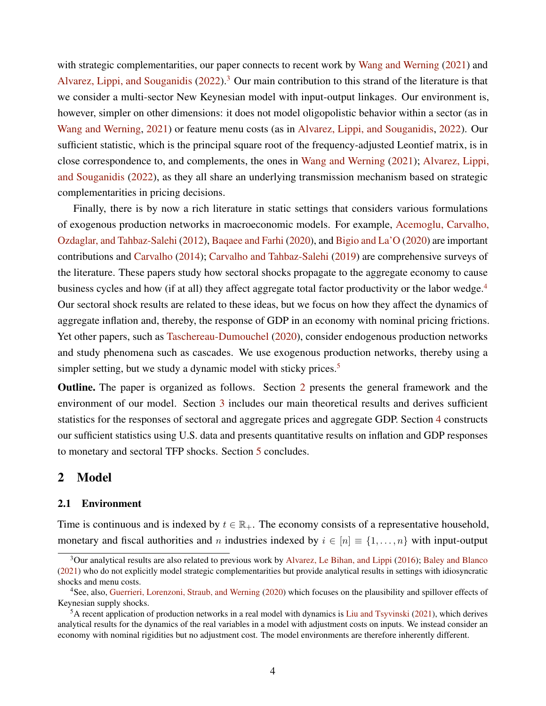with strategic complementarities, our paper connects to recent work by [Wang and Werning](#page-19-7) [\(2021\)](#page-19-7) and [Alvarez, Lippi, and Souganidis](#page-19-8)  $(2022)^3$  $(2022)^3$  $(2022)^3$  Our main contribution to this strand of the literature is that we consider a multi-sector New Keynesian model with input-output linkages. Our environment is, however, simpler on other dimensions: it does not model oligopolistic behavior within a sector (as in [Wang and Werning,](#page-19-7) [2021\)](#page-19-7) or feature menu costs (as in [Alvarez, Lippi, and Souganidis,](#page-19-8) [2022\)](#page-19-8). Our sufficient statistic, which is the principal square root of the frequency-adjusted Leontief matrix, is in close correspondence to, and complements, the ones in [Wang and Werning](#page-19-7) [\(2021\)](#page-19-7); [Alvarez, Lippi,](#page-19-8) [and Souganidis](#page-19-8) [\(2022\)](#page-19-8), as they all share an underlying transmission mechanism based on strategic complementarities in pricing decisions.

Finally, there is by now a rich literature in static settings that considers various formulations of exogenous production networks in macroeconomic models. For example, [Acemoglu, Carvalho,](#page-18-0) [Ozdaglar, and Tahbaz-Salehi](#page-18-0) [\(2012\)](#page-18-0), [Baqaee and Farhi](#page-19-9) [\(2020\)](#page-19-9), and [Bigio and La'O](#page-19-10) [\(2020\)](#page-19-10) are important contributions and [Carvalho](#page-19-11) [\(2014\)](#page-19-11); [Carvalho and Tahbaz-Salehi](#page-19-12) [\(2019\)](#page-19-12) are comprehensive surveys of the literature. These papers study how sectoral shocks propagate to the aggregate economy to cause business cycles and how (if at all) they affect aggregate total factor productivity or the labor wedge.<sup>[4](#page-4-1)</sup> Our sectoral shock results are related to these ideas, but we focus on how they affect the dynamics of aggregate inflation and, thereby, the response of GDP in an economy with nominal pricing frictions. Yet other papers, such as [Taschereau-Dumouchel](#page-19-13) [\(2020\)](#page-19-13), consider endogenous production networks and study phenomena such as cascades. We use exogenous production networks, thereby using a simpler setting, but we study a dynamic model with sticky prices.<sup>[5](#page-4-2)</sup>

Outline. The paper is organized as follows. Section [2](#page-4-3) presents the general framework and the environment of our model. Section [3](#page-8-0) includes our main theoretical results and derives sufficient statistics for the responses of sectoral and aggregate prices and aggregate GDP. Section [4](#page-14-0) constructs our sufficient statistics using U.S. data and presents quantitative results on inflation and GDP responses to monetary and sectoral TFP shocks. Section [5](#page-18-1) concludes.

## <span id="page-4-3"></span>2 Model

## 2.1 Environment

Time is continuous and is indexed by  $t \in \mathbb{R}_+$ . The economy consists of a representative household, monetary and fiscal authorities and n industries indexed by  $i \in [n] \equiv \{1, \ldots, n\}$  with input-output

<span id="page-4-0"></span><sup>3</sup>Our analytical results are also related to previous work by [Alvarez, Le Bihan, and Lippi](#page-19-14) [\(2016\)](#page-19-14); [Baley and Blanco](#page-19-15) [\(2021\)](#page-19-15) who do not explicitly model strategic complementarities but provide analytical results in settings with idiosyncratic shocks and menu costs.

<span id="page-4-1"></span><sup>4</sup>See, also, [Guerrieri, Lorenzoni, Straub, and Werning](#page-19-16) [\(2020\)](#page-19-16) which focuses on the plausibility and spillover effects of Keynesian supply shocks.

<span id="page-4-2"></span> ${}^5A$  recent application of production networks in a real model with dynamics is [Liu and Tsyvinski](#page-19-17) [\(2021\)](#page-19-17), which derives analytical results for the dynamics of the real variables in a model with adjustment costs on inputs. We instead consider an economy with nominal rigidities but no adjustment cost. The model environments are therefore inherently different.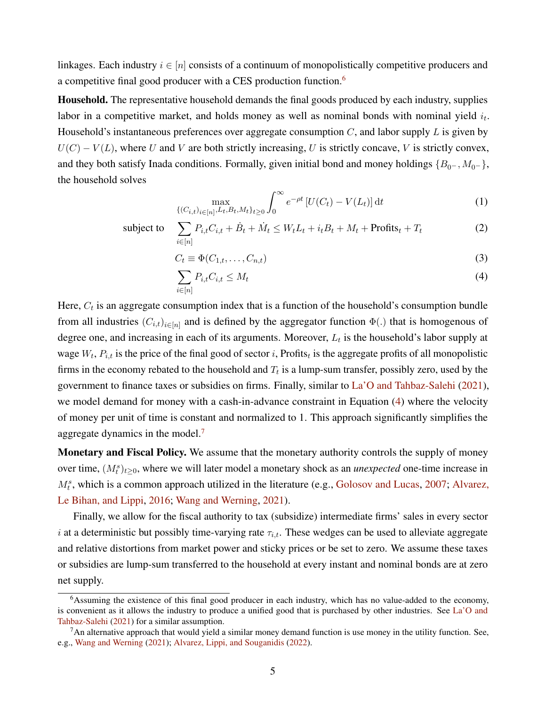linkages. Each industry  $i \in [n]$  consists of a continuum of monopolistically competitive producers and a competitive final good producer with a CES production function.[6](#page-5-0)

Household. The representative household demands the final goods produced by each industry, supplies labor in a competitive market, and holds money as well as nominal bonds with nominal yield  $i_t$ . Household's instantaneous preferences over aggregate consumption  $C$ , and labor supply  $L$  is given by  $U(C) - V(L)$ , where U and V are both strictly increasing, U is strictly concave, V is strictly convex, and they both satisfy Inada conditions. Formally, given initial bond and money holdings  $\{B_{0-}, M_{0-}\},$ the household solves

<span id="page-5-3"></span>
$$
\max_{\{(C_{i,t})_{i\in[n]},L_t,B_t,M_t\}_{t\geq 0}} \int_0^\infty e^{-\rho t} \left[ U(C_t) - V(L_t) \right] dt \tag{1}
$$

subject to 
$$
\sum_{i \in [n]} P_{i,t} C_{i,t} + \dot{B}_t + \dot{M}_t \le W_t L_t + i_t B_t + M_t + \text{Profits}_t + T_t \tag{2}
$$

$$
C_t \equiv \Phi(C_{1,t}, \dots, C_{n,t})
$$
\n(3)

<span id="page-5-1"></span>
$$
\sum_{i \in [n]} P_{i,t} C_{i,t} \le M_t \tag{4}
$$

Here,  $C_t$  is an aggregate consumption index that is a function of the household's consumption bundle from all industries  $(C_{i,t})_{i\in[n]}$  and is defined by the aggregator function  $\Phi(.)$  that is homogenous of degree one, and increasing in each of its arguments. Moreover,  $L_t$  is the household's labor supply at wage  $W_t$ ,  $P_{i,t}$  is the price of the final good of sector i, Profits<sub>t</sub> is the aggregate profits of all monopolistic firms in the economy rebated to the household and  $T_t$  is a lump-sum transfer, possibly zero, used by the government to finance taxes or subsidies on firms. Finally, similar to [La'O and Tahbaz-Salehi](#page-19-1) [\(2021\)](#page-19-1), we model demand for money with a cash-in-advance constraint in Equation [\(4\)](#page-5-1) where the velocity of money per unit of time is constant and normalized to 1. This approach significantly simplifies the aggregate dynamics in the model. $<sup>7</sup>$  $<sup>7</sup>$  $<sup>7</sup>$ </sup>

Monetary and Fiscal Policy. We assume that the monetary authority controls the supply of money over time,  $(M_t^s)_{t\geq 0}$ , where we will later model a monetary shock as an *unexpected* one-time increase in  $M_t^s$ , which is a common approach utilized in the literature (e.g., [Golosov and Lucas,](#page-19-18) [2007;](#page-19-18) [Alvarez,](#page-19-14) [Le Bihan, and Lippi,](#page-19-14) [2016;](#page-19-14) [Wang and Werning,](#page-19-7) [2021\)](#page-19-7).

Finally, we allow for the fiscal authority to tax (subsidize) intermediate firms' sales in every sector i at a deterministic but possibly time-varying rate  $\tau_{i,t}$ . These wedges can be used to alleviate aggregate and relative distortions from market power and sticky prices or be set to zero. We assume these taxes or subsidies are lump-sum transferred to the household at every instant and nominal bonds are at zero net supply.

<span id="page-5-0"></span><sup>6</sup>Assuming the existence of this final good producer in each industry, which has no value-added to the economy, is convenient as it allows the industry to produce a unified good that is purchased by other industries. See [La'O and](#page-19-1) [Tahbaz-Salehi](#page-19-1) [\(2021\)](#page-19-1) for a similar assumption.

<span id="page-5-2"></span> $<sup>7</sup>$ An alternative approach that would yield a similar money demand function is use money in the utility function. See,</sup> e.g., [Wang and Werning](#page-19-7) [\(2021\)](#page-19-7); [Alvarez, Lippi, and Souganidis](#page-19-8) [\(2022\)](#page-19-8).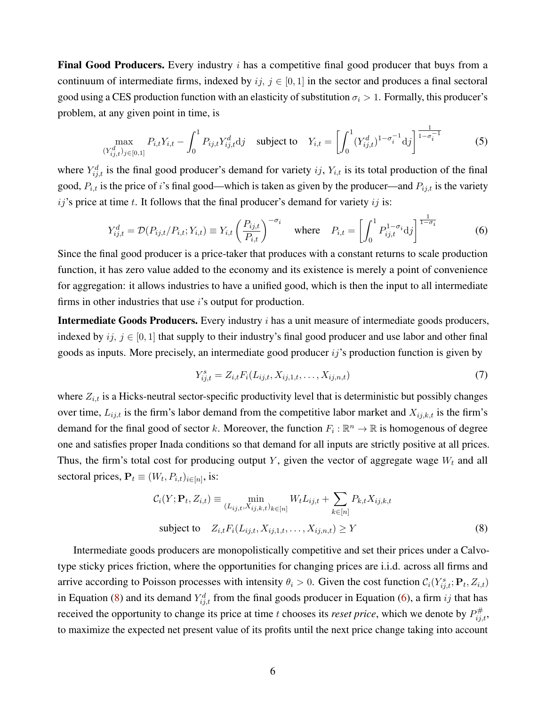**Final Good Producers.** Every industry  $i$  has a competitive final good producer that buys from a continuum of intermediate firms, indexed by  $ij, j \in [0, 1]$  in the sector and produces a final sectoral good using a CES production function with an elasticity of substitution  $\sigma_i > 1$ . Formally, this producer's problem, at any given point in time, is

$$
\max_{(Y_{ij,t}^d)_{j \in [0,1]}} P_{i,t} Y_{i,t} - \int_0^1 P_{ij,t} Y_{ij,t}^d \mathrm{d}j \quad \text{subject to} \quad Y_{i,t} = \left[ \int_0^1 (Y_{ij,t}^d)^{1-\sigma_i^{-1}} \mathrm{d}j \right]^{\frac{1}{1-\sigma_i^{-1}}} \tag{5}
$$

where  $Y_{i,j,t}^d$  is the final good producer's demand for variety  $ij$ ,  $Y_{i,t}$  is its total production of the final good,  $P_{i,t}$  is the price of i's final good—which is taken as given by the producer—and  $P_{ij,t}$  is the variety  $ij$ 's price at time t. It follows that the final producer's demand for variety  $ij$  is:

$$
Y_{ij,t}^d = \mathcal{D}(P_{ij,t}/P_{i,t}; Y_{i,t}) \equiv Y_{i,t} \left(\frac{P_{ij,t}}{P_{i,t}}\right)^{-\sigma_i} \quad \text{where} \quad P_{i,t} = \left[\int_0^1 P_{ij,t}^{1-\sigma_i} \mathrm{d}j\right]^{\frac{1}{1-\sigma_i}} \tag{6}
$$

Since the final good producer is a price-taker that produces with a constant returns to scale production function, it has zero value added to the economy and its existence is merely a point of convenience for aggregation: it allows industries to have a unified good, which is then the input to all intermediate firms in other industries that use  $i$ 's output for production.

Intermediate Goods Producers. Every industry *i* has a unit measure of intermediate goods producers, indexed by  $ij, j \in [0, 1]$  that supply to their industry's final good producer and use labor and other final goods as inputs. More precisely, an intermediate good producer  $ij$ 's production function is given by

<span id="page-6-2"></span><span id="page-6-1"></span><span id="page-6-0"></span>
$$
Y_{ij,t}^s = Z_{i,t} F_i(L_{ij,t}, X_{ij,1,t}, \dots, X_{ij,n,t})
$$
\n(7)

where  $Z_{i,t}$  is a Hicks-neutral sector-specific productivity level that is deterministic but possibly changes over time,  $L_{ij,t}$  is the firm's labor demand from the competitive labor market and  $X_{ij,k,t}$  is the firm's demand for the final good of sector k. Moreover, the function  $F_i : \mathbb{R}^n \to \mathbb{R}$  is homogenous of degree one and satisfies proper Inada conditions so that demand for all inputs are strictly positive at all prices. Thus, the firm's total cost for producing output Y, given the vector of aggregate wage  $W_t$  and all sectoral prices,  $P_t \equiv (W_t, P_{i,t})_{i \in [n]},$  is:

$$
C_i(Y; \mathbf{P}_t, Z_{i,t}) \equiv \min_{(L_{ij,t}, X_{ij,k,t})_{k \in [n]} W_t L_{ij,t} + \sum_{k \in [n]} P_{k,t} X_{ij,k,t}
$$
  
subject to  $Z_{i,t} F_i(L_{ij,t}, X_{ij,1,t}, \dots, X_{ij,n,t}) \ge Y$  (8)

Intermediate goods producers are monopolistically competitive and set their prices under a Calvotype sticky prices friction, where the opportunities for changing prices are i.i.d. across all firms and arrive according to Poisson processes with intensity  $\theta_i > 0$ . Given the cost function  $C_i(Y^s_{ij,t}; \mathbf{P}_t, Z_{i,t})$ in Equation [\(8\)](#page-6-0) and its demand  $Y_{i,j,t}^d$  from the final goods producer in Equation [\(6\)](#page-6-1), a firm ij that has received the opportunity to change its price at time t chooses its *reset price*, which we denote by  $P_{ij,t}^{\#}$ , to maximize the expected net present value of its profits until the next price change taking into account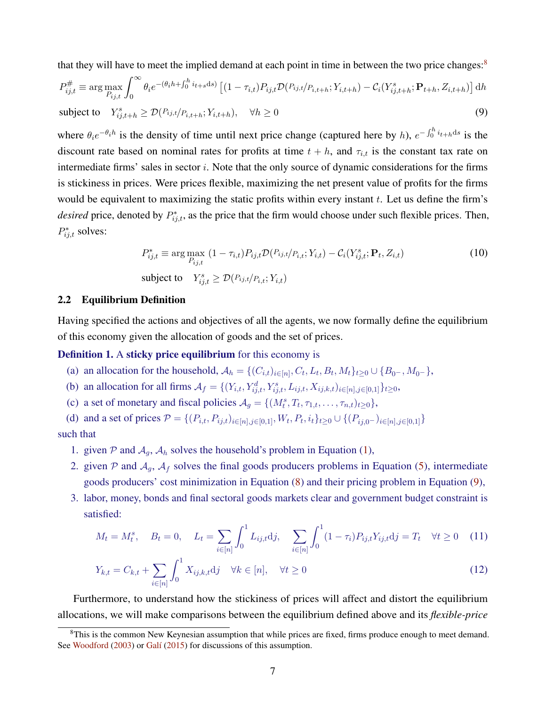that they will have to meet the implied demand at each point in time in between the two price changes:<sup>[8](#page-7-0)</sup>

$$
P_{ij,t}^{\#} \equiv \arg \max_{P_{ij,t}} \int_0^{\infty} \theta_i e^{-(\theta_i h + \int_0^h i_{t+s} ds)} \left[ (1 - \tau_{i,t}) P_{ij,t} \mathcal{D}(P_{ij,t}/P_{i,t+h}; Y_{i,t+h}) - C_i(Y_{ij,t+h}^s; \mathbf{P}_{t+h}, Z_{i,t+h}) \right] dh
$$
  
subject to  $Y_{ij,t+h}^s \ge \mathcal{D}(P_{ij,t}/P_{i,t+h}; Y_{i,t+h}), \quad \forall h \ge 0$  (9)

where  $\theta_i e^{-\theta_i h}$  is the density of time until next price change (captured here by h),  $e^{-\int_0^h i_{t+h} ds}$  is the discount rate based on nominal rates for profits at time  $t + h$ , and  $\tau_{i,t}$  is the constant tax rate on intermediate firms' sales in sector i. Note that the only source of dynamic considerations for the firms is stickiness in prices. Were prices flexible, maximizing the net present value of profits for the firms would be equivalent to maximizing the static profits within every instant  $t$ . Let us define the firm's *desired* price, denoted by  $P_{ij,t}^*$ , as the price that the firm would choose under such flexible prices. Then,  $P_{ij,t}^*$  solves:

<span id="page-7-3"></span><span id="page-7-1"></span>
$$
P_{ij,t}^* \equiv \arg\max_{P_{ij,t}} (1 - \tau_{i,t}) P_{ij,t} \mathcal{D}(P_{ij,t}/P_{i,t}; Y_{i,t}) - \mathcal{C}_i(Y_{ij,t}^s; \mathbf{P}_t, Z_{i,t})
$$
  
subject to 
$$
Y_{ij,t}^s \ge \mathcal{D}(P_{ij,t}/P_{i,t}; Y_{i,t})
$$
 (10)

#### 2.2 Equilibrium Definition

Having specified the actions and objectives of all the agents, we now formally define the equilibrium of this economy given the allocation of goods and the set of prices.

### <span id="page-7-2"></span>Definition 1. A sticky price equilibrium for this economy is

- (a) an allocation for the household,  $A_h = \{(C_{i,t})_{i \in [n]}, C_t, L_t, B_t, M_t\}_{t \ge 0} \cup \{B_{0-}, M_{0-}\},$
- (b) an allocation for all firms  $A_f = \{(Y_{i,t}, Y_{ij,t}^d, Y_{ij,t}^s, L_{ij,t}, X_{ij,k,t})_{i \in [n], j \in [0,1]}\}_{t \ge 0}$ ,
- (c) a set of monetary and fiscal policies  $A_g = \{(M_t^s, T_t, \tau_{1,t}, \dots, \tau_{n,t})_{t \geq 0}\},$

(d) and a set of prices  $P = \{(P_{i,t}, P_{ij,t})_{i \in [n], j \in [0,1]}, W_t, P_t, i_t\}_{t \geq 0} \cup \{(P_{ij,0}-)_{i \in [n], j \in [0,1]}\}$ such that

- 1. given P and  $A_q$ ,  $A_h$  solves the household's problem in Equation [\(1\)](#page-5-3),
- 2. given  $P$  and  $A_g$ ,  $A_f$  solves the final goods producers problems in Equation [\(5\)](#page-6-2), intermediate goods producers' cost minimization in Equation [\(8\)](#page-6-0) and their pricing problem in Equation [\(9\)](#page-7-1),
- 3. labor, money, bonds and final sectoral goods markets clear and government budget constraint is satisfied:

$$
M_t = M_t^s, \quad B_t = 0, \quad L_t = \sum_{i \in [n]} \int_0^1 L_{ij, t} \mathrm{d}j, \quad \sum_{i \in [n]} \int_0^1 (1 - \tau_i) P_{ij, t} Y_{ij, t} \mathrm{d}j = T_t \quad \forall t \ge 0 \quad (11)
$$

$$
Y_{k,t} = C_{k,t} + \sum_{i \in [n]} \int_0^1 X_{ij,k,t} \mathrm{d}j \quad \forall k \in [n], \quad \forall t \ge 0 \tag{12}
$$

Furthermore, to understand how the stickiness of prices will affect and distort the equilibrium allocations, we will make comparisons between the equilibrium defined above and its *flexible-price*

<span id="page-7-0"></span> ${}^{8}$ This is the common New Keynesian assumption that while prices are fixed, firms produce enough to meet demand. See [Woodford](#page-19-6) [\(2003\)](#page-19-6) or [Galí](#page-19-19) [\(2015\)](#page-19-19) for discussions of this assumption.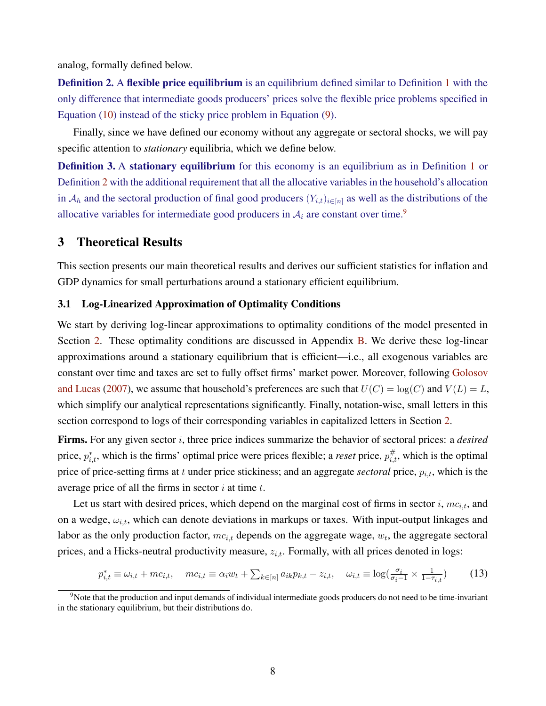analog, formally defined below.

<span id="page-8-1"></span>Definition 2. A flexible price equilibrium is an equilibrium defined similar to Definition [1](#page-7-2) with the only difference that intermediate goods producers' prices solve the flexible price problems specified in Equation [\(10\)](#page-7-3) instead of the sticky price problem in Equation [\(9\)](#page-7-1).

Finally, since we have defined our economy without any aggregate or sectoral shocks, we will pay specific attention to *stationary* equilibria, which we define below.

**Definition 3.** A stationary equilibrium for this economy is an equilibrium as in Definition [1](#page-7-2) or Definition [2](#page-8-1) with the additional requirement that all the allocative variables in the household's allocation in  $A_h$  and the sectoral production of final good producers  $(Y_{i,t})_{i\in[n]}$  as well as the distributions of the allocative variables for intermediate good producers in  $A_i$  are constant over time.<sup>[9](#page-8-2)</sup>

## <span id="page-8-0"></span>3 Theoretical Results

This section presents our main theoretical results and derives our sufficient statistics for inflation and GDP dynamics for small perturbations around a stationary efficient equilibrium.

## 3.1 Log-Linearized Approximation of Optimality Conditions

We start by deriving log-linear approximations to optimality conditions of the model presented in Section [2.](#page-4-3) These optimality conditions are discussed in Appendix [B.](#page-32-0) We derive these log-linear approximations around a stationary equilibrium that is efficient—i.e., all exogenous variables are constant over time and taxes are set to fully offset firms' market power. Moreover, following [Golosov](#page-19-18) [and Lucas](#page-19-18) [\(2007\)](#page-19-18), we assume that household's preferences are such that  $U(C) = \log(C)$  and  $V(L) = L$ , which simplify our analytical representations significantly. Finally, notation-wise, small letters in this section correspond to logs of their corresponding variables in capitalized letters in Section [2.](#page-4-3)

Firms. For any given sector i, three price indices summarize the behavior of sectoral prices: a *desired* price,  $p_{i,t}^*$ , which is the firms' optimal price were prices flexible; a *reset* price,  $p_{i,t}^{\#}$ , which is the optimal price of price-setting firms at t under price stickiness; and an aggregate *sectoral* price,  $p_{i,t}$ , which is the average price of all the firms in sector  $i$  at time  $t$ .

Let us start with desired prices, which depend on the marginal cost of firms in sector  $i, mc_{i,t}$ , and on a wedge,  $\omega_{i,t}$ , which can denote deviations in markups or taxes. With input-output linkages and labor as the only production factor,  $mc_{i,t}$  depends on the aggregate wage,  $w_t$ , the aggregate sectoral prices, and a Hicks-neutral productivity measure,  $z_{i,t}$ . Formally, with all prices denoted in logs:

<span id="page-8-3"></span>
$$
p_{i,t}^* \equiv \omega_{i,t} + mc_{i,t}, \quad mc_{i,t} \equiv \alpha_i w_t + \sum_{k \in [n]} a_{ik} p_{k,t} - z_{i,t}, \quad \omega_{i,t} \equiv \log(\frac{\sigma_i}{\sigma_i - 1} \times \frac{1}{1 - \tau_{i,t}})
$$
(13)

<span id="page-8-2"></span><sup>&</sup>lt;sup>9</sup>Note that the production and input demands of individual intermediate goods producers do not need to be time-invariant in the stationary equilibrium, but their distributions do.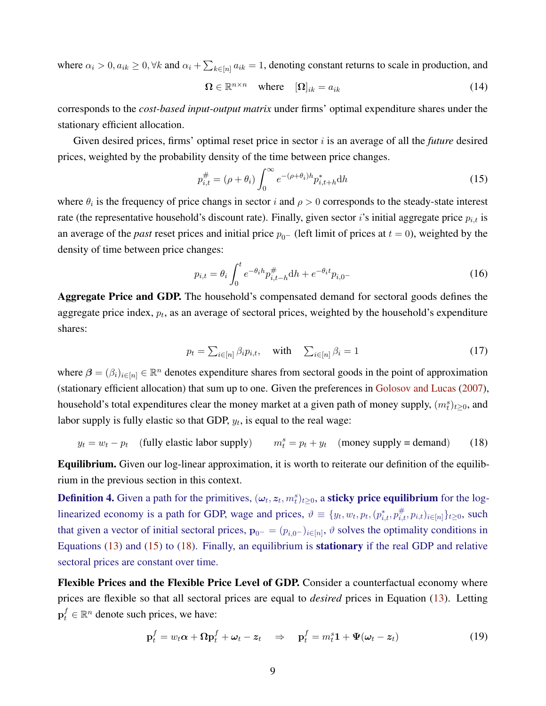where  $\alpha_i > 0$ ,  $a_{ik} \ge 0$ ,  $\forall k$  and  $\alpha_i + \sum_{k \in [n]} a_{ik} = 1$ , denoting constant returns to scale in production, and

$$
\Omega \in \mathbb{R}^{n \times n} \quad \text{where} \quad [\Omega]_{ik} = a_{ik} \tag{14}
$$

corresponds to the *cost-based input-output matrix* under firms' optimal expenditure shares under the stationary efficient allocation.

Given desired prices, firms' optimal reset price in sector i is an average of all the *future* desired prices, weighted by the probability density of the time between price changes.

<span id="page-9-0"></span>
$$
p_{i,t}^{\#} = (\rho + \theta_i) \int_0^\infty e^{-(\rho + \theta_i)h} p_{i,t+h}^* dh
$$
 (15)

where  $\theta_i$  is the frequency of price changs in sector i and  $\rho > 0$  corresponds to the steady-state interest rate (the representative household's discount rate). Finally, given sector *i*'s initial aggregate price  $p_{i,t}$  is an average of the *past* reset prices and initial price  $p_{0-}$  (left limit of prices at  $t = 0$ ), weighted by the density of time between price changes:

<span id="page-9-3"></span>
$$
p_{i,t} = \theta_i \int_0^t e^{-\theta_i h} p_{i,t-h}^{\#} dh + e^{-\theta_i t} p_{i,0} \tag{16}
$$

Aggregate Price and GDP. The household's compensated demand for sectoral goods defines the aggregate price index,  $p_t$ , as an average of sectoral prices, weighted by the household's expenditure shares:

<span id="page-9-1"></span>
$$
p_t = \sum_{i \in [n]} \beta_i p_{i,t}, \quad \text{with} \quad \sum_{i \in [n]} \beta_i = 1 \tag{17}
$$

where  $\beta = (\beta_i)_{i \in [n]} \in \mathbb{R}^n$  denotes expenditure shares from sectoral goods in the point of approximation (stationary efficient allocation) that sum up to one. Given the preferences in [Golosov and Lucas](#page-19-18) [\(2007\)](#page-19-18), household's total expenditures clear the money market at a given path of money supply,  $(m_t^s)_{t\geq 0}$ , and labor supply is fully elastic so that GDP,  $y_t$ , is equal to the real wage:

$$
y_t = w_t - p_t
$$
 (fully elastic labor supply)  $m_t^s = p_t + y_t$  (money supply = demand) (18)

Equilibrium. Given our log-linear approximation, it is worth to reiterate our definition of the equilibrium in the previous section in this context.

**Definition 4.** Given a path for the primitives,  $(\omega_t, z_t, m_t^s)_{t \geq 0}$ , a **sticky price equilibrium** for the loglinearized economy is a path for GDP, wage and prices,  $\vartheta \equiv \{y_t, w_t, p_t, (p_{i,t}^*, p_{i,t}^*, p_{i,t})_{i \in [n]}\}_{t \geq 0}$ , such that given a vector of initial sectoral prices,  $\mathbf{p}_{0-} = (p_{i,0}-)_{i \in [n]}, \vartheta$  solves the optimality conditions in Equations [\(13\)](#page-8-3) and [\(15\)](#page-9-0) to [\(18\)](#page-9-1). Finally, an equilibrium is stationary if the real GDP and relative sectoral prices are constant over time.

Flexible Prices and the Flexible Price Level of GDP. Consider a counterfactual economy where prices are flexible so that all sectoral prices are equal to *desired* prices in Equation [\(13\)](#page-8-3). Letting  $\mathbf{p}_t^f \in \mathbb{R}^n$  denote such prices, we have:

<span id="page-9-2"></span>
$$
\mathbf{p}_t^f = w_t \alpha + \Omega \mathbf{p}_t^f + \omega_t - z_t \quad \Rightarrow \quad \mathbf{p}_t^f = m_t^s \mathbf{1} + \Psi(\omega_t - z_t) \tag{19}
$$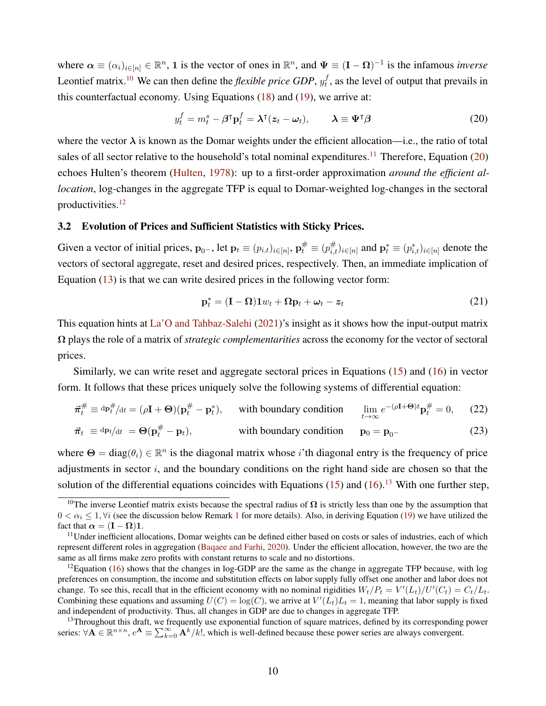where  $\alpha \equiv (\alpha_i)_{i \in [n]} \in \mathbb{R}^n$ , 1 is the vector of ones in  $\mathbb{R}^n$ , and  $\Psi \equiv (\mathbf{I} - \mathbf{\Omega})^{-1}$  is the infamous *inverse* Leontief matrix.<sup>[10](#page-10-0)</sup> We can then define the *flexible price GDP*,  $y_t^f$  $t<sub>t</sub>$ , as the level of output that prevails in this counterfactual economy. Using Equations [\(18\)](#page-9-1) and [\(19\)](#page-9-2), we arrive at:

<span id="page-10-2"></span>
$$
y_t^f = m_t^s - \beta^\mathsf{T} \mathbf{p}_t^f = \boldsymbol{\lambda}^\mathsf{T} (z_t - \boldsymbol{\omega}_t), \qquad \boldsymbol{\lambda} \equiv \boldsymbol{\Psi}^\mathsf{T} \boldsymbol{\beta} \tag{20}
$$

where the vector  $\lambda$  is known as the Domar weights under the efficient allocation—i.e., the ratio of total sales of all sector relative to the household's total nominal expenditures.<sup>[11](#page-10-1)</sup> Therefore, Equation  $(20)$ echoes Hulten's theorem [\(Hulten,](#page-19-20) [1978\)](#page-19-20): up to a first-order approximation *around the efficient allocation*, log-changes in the aggregate TFP is equal to Domar-weighted log-changes in the sectoral productivities.[12](#page-10-3)

## 3.2 Evolution of Prices and Sufficient Statistics with Sticky Prices.

Given a vector of initial prices,  $\mathbf{p}_{0-}$ , let  $\mathbf{p}_t \equiv (p_{i,t})_{i \in [n]}$ ,  $\mathbf{p}_t^{\#} \equiv (p_{i,t}^{\#})_{i \in [n]}$  and  $\mathbf{p}_t^* \equiv (p_{i,t}^*)_{i \in [n]}$  denote the vectors of sectoral aggregate, reset and desired prices, respectively. Then, an immediate implication of Equation [\(13\)](#page-8-3) is that we can write desired prices in the following vector form:

<span id="page-10-6"></span><span id="page-10-5"></span>
$$
\mathbf{p}_t^* = (\mathbf{I} - \mathbf{\Omega})\mathbf{1}w_t + \mathbf{\Omega}\mathbf{p}_t + \boldsymbol{\omega}_t - \boldsymbol{z}_t
$$
\n(21)

This equation hints at [La'O and Tahbaz-Salehi](#page-19-1) [\(2021\)](#page-19-1)'s insight as it shows how the input-output matrix Ω plays the role of a matrix of *strategic complementarities* across the economy for the vector of sectoral prices.

Similarly, we can write reset and aggregate sectoral prices in Equations [\(15\)](#page-9-0) and [\(16\)](#page-9-3) in vector form. It follows that these prices uniquely solve the following systems of differential equation:

$$
\vec{\pi}_t^{\#} \equiv \text{d}\mathbf{p}_t^{\#}/\text{d}t = (\rho \mathbf{I} + \mathbf{\Theta})(\mathbf{p}_t^{\#} - \mathbf{p}_t^*), \quad \text{with boundary condition} \quad \lim_{t \to \infty} e^{-(\rho \mathbf{I} + \mathbf{\Theta})t} \mathbf{p}_t^{\#} = 0, \quad (22)
$$
  

$$
\vec{\pi}_t \equiv \text{d}\mathbf{p}_t/\text{d}t = \mathbf{\Theta}(\mathbf{p}_t^{\#} - \mathbf{p}_t), \quad \text{with boundary condition} \quad \mathbf{p}_0 = \mathbf{p}_0.
$$

where  $\Theta = \text{diag}(\theta_i) \in \mathbb{R}^n$  is the diagonal matrix whose *i*'th diagonal entry is the frequency of price adjustments in sector  $i$ , and the boundary conditions on the right hand side are chosen so that the solution of the differential equations coincides with Equations  $(15)$  and  $(16)$ .<sup>[13](#page-10-4)</sup> With one further step,

<span id="page-10-0"></span><sup>&</sup>lt;sup>10</sup>The inverse Leontief matrix exists because the spectral radius of  $\Omega$  is strictly less than one by the assumption that  $0 < \alpha_i \leq 1$  $0 < \alpha_i \leq 1$ ,  $\forall i$  (see the discussion below Remark 1 for more details). Also, in deriving Equation [\(19\)](#page-9-2) we have utilized the fact that  $\alpha = (\mathbf{I} - \mathbf{\Omega})\mathbf{1}$ .

<span id="page-10-1"></span><sup>&</sup>lt;sup>11</sup>Under inefficient allocations, Domar weights can be defined either based on costs or sales of industries, each of which represent different roles in aggregation [\(Baqaee and Farhi,](#page-19-9) [2020\)](#page-19-9). Under the efficient allocation, however, the two are the same as all firms make zero profits with constant returns to scale and no distortions.

<span id="page-10-3"></span><sup>&</sup>lt;sup>12</sup>Equation [\(16\)](#page-9-3) shows that the changes in log-GDP are the same as the change in aggregate TFP because, with log preferences on consumption, the income and substitution effects on labor supply fully offset one another and labor does not change. To see this, recall that in the efficient economy with no nominal rigidities  $W_t/P_t = V'(L_t)/U'(C_t) = C_t/L_t$ . Combining these equations and assuming  $U(C) = \log(C)$ , we arrive at  $V'(L_t)L_t = 1$ , meaning that labor supply is fixed and independent of productivity. Thus, all changes in GDP are due to changes in aggregate TFP.

<span id="page-10-4"></span><sup>&</sup>lt;sup>13</sup>Throughout this draft, we frequently use exponential function of square matrices, defined by its corresponding power series:  $\forall A \in \mathbb{R}^{n \times n}$ ,  $e^{A} \equiv \sum_{k=0}^{\infty} A^{k}/k!$ , which is well-defined because these power series are always convergent.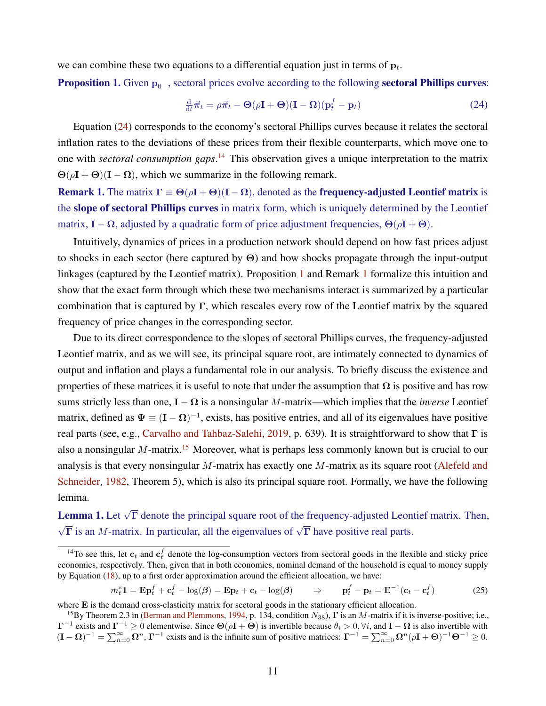we can combine these two equations to a differential equation just in terms of  $p_t$ .

<span id="page-11-3"></span>**Proposition 1.** Given  $p_{0-}$ , sectoral prices evolve according to the following **sectoral Phillips curves:** 

<span id="page-11-1"></span>
$$
\frac{\mathrm{d}}{\mathrm{d}t}\vec{\pi}_t = \rho\vec{\pi}_t - \Theta(\rho\mathbf{I} + \Theta)(\mathbf{I} - \mathbf{\Omega})(\mathbf{p}_t^f - \mathbf{p}_t)
$$
(24)

Equation [\(24\)](#page-11-1) corresponds to the economy's sectoral Phillips curves because it relates the sectoral inflation rates to the deviations of these prices from their flexible counterparts, which move one to one with *sectoral consumption gaps*. [14](#page-11-2) This observation gives a unique interpretation to the matrix  $\Theta(\rho I + \Theta)(I - \Omega)$ , which we summarize in the following remark.

<span id="page-11-0"></span>**Remark 1.** The matrix  $\Gamma \equiv \Theta(\rho I + \Theta)(I - \Omega)$ , denoted as the **frequency-adjusted Leontief matrix** is the slope of sectoral Phillips curves in matrix form, which is uniquely determined by the Leontief matrix,  $I - \Omega$ , adjusted by a quadratic form of price adjustment frequencies,  $\Theta(\rho I + \Theta)$ .

Intuitively, dynamics of prices in a production network should depend on how fast prices adjust to shocks in each sector (here captured by Θ) and how shocks propagate through the input-output linkages (captured by the Leontief matrix). Proposition [1](#page-11-3) and Remark [1](#page-11-0) formalize this intuition and show that the exact form through which these two mechanisms interact is summarized by a particular combination that is captured by Γ, which rescales every row of the Leontief matrix by the squared frequency of price changes in the corresponding sector.

Due to its direct correspondence to the slopes of sectoral Phillips curves, the frequency-adjusted Leontief matrix, and as we will see, its principal square root, are intimately connected to dynamics of output and inflation and plays a fundamental role in our analysis. To briefly discuss the existence and properties of these matrices it is useful to note that under the assumption that  $\Omega$  is positive and has row sums strictly less than one,  $I - \Omega$  is a nonsingular M-matrix—which implies that the *inverse* Leontief matrix, defined as  $\Psi \equiv (\mathbf{I} - \mathbf{\Omega})^{-1}$ , exists, has positive entries, and all of its eigenvalues have positive real parts (see, e.g., [Carvalho and Tahbaz-Salehi,](#page-19-12) [2019,](#page-19-12) p. 639). It is straightforward to show that  $\Gamma$  is also a nonsingular M-matrix.<sup>[15](#page-11-4)</sup> Moreover, what is perhaps less commonly known but is crucial to our analysis is that every nonsingular  $M$ -matrix has exactly one  $M$ -matrix as its square root [\(Alefeld and](#page-18-2) [Schneider,](#page-18-2) [1982,](#page-18-2) Theorem 5), which is also its principal square root. Formally, we have the following lemma.

<span id="page-11-5"></span>**Lemma 1.** Let  $\sqrt{\Gamma}$  denote the principal square root of the frequency-adjusted Leontief matrix. Then,  $\sqrt{\Gamma}$  is an *M*-matrix. In particular, all the eigenvalues of  $\sqrt{\Gamma}$  have positive real parts.

$$
m_t^s \mathbf{1} = \mathbf{E} \mathbf{p}_t^f + \mathbf{c}_t^f - \log(\beta) = \mathbf{E} \mathbf{p}_t + \mathbf{c}_t - \log(\beta) \qquad \Rightarrow \qquad \mathbf{p}_t^f - \mathbf{p}_t = \mathbf{E}^{-1}(\mathbf{c}_t - \mathbf{c}_t^f) \tag{25}
$$

<span id="page-11-2"></span><sup>&</sup>lt;sup>14</sup>To see this, let  $c_t$  and  $c_t^f$  denote the log-consumption vectors from sectoral goods in the flexible and sticky price economies, respectively. Then, given that in both economies, nominal demand of the household is equal to money supply by Equation [\(18\)](#page-9-1), up to a first order approximation around the efficient allocation, we have:

where E is the demand cross-elasticity matrix for sectoral goods in the stationary efficient allocation.

<span id="page-11-4"></span><sup>&</sup>lt;sup>15</sup>By Theorem 2.3 in [\(Berman and Plemmons,](#page-19-21) [1994,](#page-19-21) p. 134, condition  $N_{38}$ ),  $\Gamma$  is an M-matrix if it is inverse-positive; i.e.,  $\Gamma^{-1}$  exists and  $\Gamma^{-1} \ge 0$  elementwise. Since  $\Theta(\rho \mathbf{I} + \Theta)$  is invertible because  $\theta_i > 0$ ,  $\forall i$ , and  $\mathbf{I} - \mathbf{\Omega}$  is also invertible with  $(I - \Omega)^{-1} = \sum_{n=0}^{\infty} \overline{\Omega^n}$ ,  $\Gamma^{-1}$  exists and is the infinite sum of positive matrices:  $\Gamma^{-1} = \sum_{n=0}^{\infty} \Omega^n (\rho I + \Theta)^{-1} \Theta^{-1} \ge 0$ .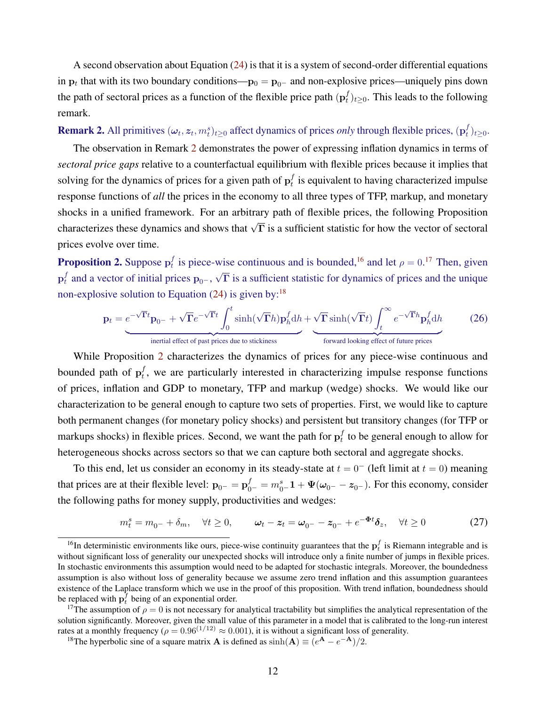A second observation about Equation [\(24\)](#page-11-1) is that it is a system of second-order differential equations in  $\mathbf{p}_t$  that with its two boundary conditions— $\mathbf{p}_0 = \mathbf{p}_{0-}$  and non-explosive prices—uniquely pins down the path of sectoral prices as a function of the flexible price path  $(\mathbf{p}_t^f)$  $_{t}^{f}$ )<sub>t</sub>  $\geq$ <sub>0</sub>. This leads to the following remark.

<span id="page-12-0"></span>**Remark 2.** All primitives  $(\omega_t, z_t, m_t^s)_{t \geq 0}$  affect dynamics of prices *only* through flexible prices,  $(p_t^f)$  $_{t}^{J})_{t\geq0}.$ 

The observation in Remark [2](#page-12-0) demonstrates the power of expressing inflation dynamics in terms of *sectoral price gaps* relative to a counterfactual equilibrium with flexible prices because it implies that solving for the dynamics of prices for a given path of  $\mathbf{p}_t^f$  $_t^t$  is equivalent to having characterized impulse response functions of *all* the prices in the economy to all three types of TFP, markup, and monetary shocks in a unified framework. For an arbitrary path of flexible prices, the following Proposition characterizes these dynamics and shows that  $\sqrt{\Gamma}$  is a sufficient statistic for how the vector of sectoral prices evolve over time.

<span id="page-12-4"></span>**Proposition 2.** Suppose  $\mathbf{p}_t^f$  $t_i$  is piece-wise continuous and is bounded,<sup>[16](#page-12-1)</sup> and let  $\rho = 0.17$  $\rho = 0.17$  Then, given  $\mathbf{p}_t^f$  $t_t$  and a vector of initial prices  $\mathbf{p}_{0-}$ , √  $\overline{\Gamma}$  is a sufficient statistic for dynamics of prices and the unique non-explosive solution to Equation  $(24)$  is given by:<sup>[18](#page-12-3)</sup>

<span id="page-12-5"></span>
$$
\mathbf{p}_t = e^{-\sqrt{\Gamma}t}\mathbf{p}_{0-} + \sqrt{\Gamma}e^{-\sqrt{\Gamma}t}\int_0^t \sinh(\sqrt{\Gamma}h)\mathbf{p}_h^f \mathrm{d}h + \sqrt{\Gamma}\sinh(\sqrt{\Gamma}t)\int_t^\infty e^{-\sqrt{\Gamma}h}\mathbf{p}_h^f \mathrm{d}h
$$
 (26)  
inertial effect of past prices due to stickiness  
forward looking effect of future prices

While Proposition [2](#page-12-4) characterizes the dynamics of prices for any piece-wise continuous and bounded path of  $\mathbf{p}_t^f$  $_{t}^{t}$ , we are particularly interested in characterizing impulse response functions of prices, inflation and GDP to monetary, TFP and markup (wedge) shocks. We would like our characterization to be general enough to capture two sets of properties. First, we would like to capture both permanent changes (for monetary policy shocks) and persistent but transitory changes (for TFP or markups shocks) in flexible prices. Second, we want the path for  $p_t^f$  $t_t$  to be general enough to allow for heterogeneous shocks across sectors so that we can capture both sectoral and aggregate shocks.

To this end, let us consider an economy in its steady-state at  $t = 0^-$  (left limit at  $t = 0$ ) meaning that prices are at their flexible level:  $\mathbf{p}_{0^-} = \mathbf{p}_{0^-}^f = m_{0^-}^s \mathbf{1} + \mathbf{\Psi}(\omega_{0^-} - z_{0^-})$ . For this economy, consider the following paths for money supply, productivities and wedges:

$$
m_t^s = m_{0^-} + \delta_m, \quad \forall t \ge 0, \qquad \omega_t - z_t = \omega_{0^-} - z_{0^-} + e^{-\Phi t} \delta_z, \quad \forall t \ge 0 \tag{27}
$$

<span id="page-12-1"></span><sup>&</sup>lt;sup>16</sup>In deterministic environments like ours, piece-wise continuity guarantees that the  $p_t^f$  is Riemann integrable and is without significant loss of generality our unexpected shocks will introduce only a finite number of jumps in flexible prices. In stochastic environments this assumption would need to be adapted for stochastic integrals. Moreover, the boundedness assumption is also without loss of generality because we assume zero trend inflation and this assumption guarantees existence of the Laplace transform which we use in the proof of this proposition. With trend inflation, boundedness should be replaced with  $\mathbf{p}_t^f$  being of an exponential order.

<span id="page-12-2"></span><sup>&</sup>lt;sup>17</sup>The assumption of  $\rho = 0$  is not necessary for analytical tractability but simplifies the analytical representation of the solution significantly. Moreover, given the small value of this parameter in a model that is calibrated to the long-run interest rates at a monthly frequency ( $\rho = 0.96^{(1/12)} \approx 0.001$ ), it is without a significant loss of generality.

<span id="page-12-3"></span><sup>&</sup>lt;sup>18</sup>The hyperbolic sine of a square matrix **A** is defined as  $\sinh(A) \equiv (e^{A} - e^{-A})/2$ .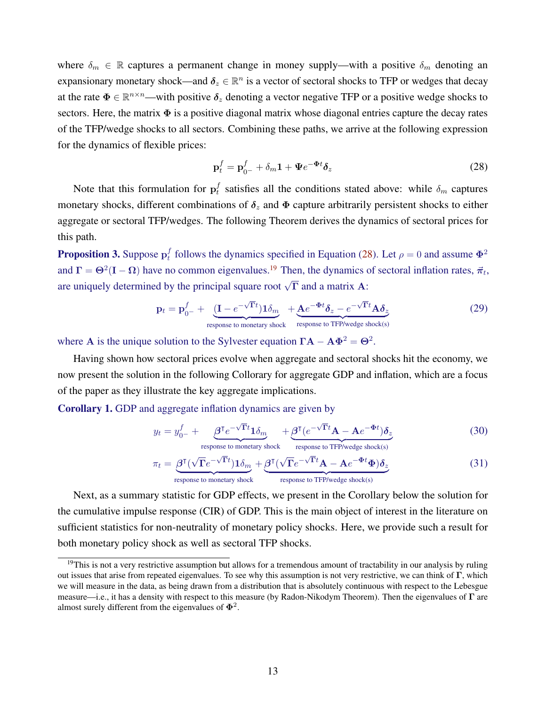where  $\delta_m \in \mathbb{R}$  captures a permanent change in money supply—with a positive  $\delta_m$  denoting an expansionary monetary shock—and  $\delta_z \in \mathbb{R}^n$  is a vector of sectoral shocks to TFP or wedges that decay at the rate  $\Phi \in \mathbb{R}^{n \times n}$ —with positive  $\delta_z$  denoting a vector negative TFP or a positive wedge shocks to sectors. Here, the matrix  $\Phi$  is a positive diagonal matrix whose diagonal entries capture the decay rates of the TFP/wedge shocks to all sectors. Combining these paths, we arrive at the following expression for the dynamics of flexible prices:

<span id="page-13-4"></span><span id="page-13-0"></span>
$$
\mathbf{p}_t^f = \mathbf{p}_{0^-}^f + \delta_m \mathbf{1} + \Psi e^{-\Phi t} \delta_z \tag{28}
$$

Note that this formulation for  $p_t^f$  $t_t$  satisfies all the conditions stated above: while  $\delta_m$  captures monetary shocks, different combinations of  $\delta_z$  and  $\Phi$  capture arbitrarily persistent shocks to either aggregate or sectoral TFP/wedges. The following Theorem derives the dynamics of sectoral prices for this path.

<span id="page-13-2"></span>**Proposition 3.** Suppose  $\mathbf{p}_t^f$ f follows the dynamics specified in Equation [\(28\)](#page-13-0). Let  $\rho = 0$  and assume  $\Phi^2$ and  $\Gamma = \Theta^2(I - \Omega)$  have no common eigenvalues.<sup>[19](#page-13-1)</sup> Then, the dynamics of sectoral inflation rates,  $\vec{\pi}_t$ , are uniquely determined by the principal square root  $\sqrt{\Gamma}$  and a matrix A:

$$
\mathbf{p}_t = \mathbf{p}_{0-}^f + \underbrace{(\mathbf{I} - e^{-\sqrt{\mathbf{\Gamma}}t})\mathbf{1}\delta_m}_{\text{response to monetary shock}} + \underbrace{\mathbf{A}e^{-\Phi t}\delta_z - e^{-\sqrt{\mathbf{\Gamma}}t}\mathbf{A}\delta_z}_{\text{response to TFP/wedge shock}} \tag{29}
$$

where A is the unique solution to the Sylvester equation  $\Gamma A - A\Phi^2 = \Theta^2$ .

Having shown how sectoral prices evolve when aggregate and sectoral shocks hit the economy, we now present the solution in the following Collorary for aggregate GDP and inflation, which are a focus of the paper as they illustrate the key aggregate implications.

<span id="page-13-3"></span>Corollary 1. GDP and aggregate inflation dynamics are given by

$$
y_t = y_{0-}^f + \underbrace{\beta^{\mathsf{T}} e^{-\sqrt{\mathsf{T}}t} \mathbf{1}_{\delta_m}}_{\text{response to monetary shock}} + \underbrace{\beta^{\mathsf{T}} (e^{-\sqrt{\mathsf{T}}t} \mathbf{A} - \mathbf{A} e^{-\Phi t}) \delta_z}_{\text{response to TFP/wedge shock(s)}}
$$
(30)

$$
\pi_t = \underbrace{\beta^{\mathsf{T}}(\sqrt{\Gamma}e^{-\sqrt{\Gamma}t})\mathbf{1}\delta_m}_{\text{response to monetary shock}} + \underbrace{\beta^{\mathsf{T}}(\sqrt{\Gamma}e^{-\sqrt{\Gamma}t}\mathbf{A} - \mathbf{A}e^{-\Phi t}\Phi)\delta_z}_{\text{response to TFP/wedge shock(s)}}
$$
(31)

Next, as a summary statistic for GDP effects, we present in the Corollary below the solution for the cumulative impulse response (CIR) of GDP. This is the main object of interest in the literature on sufficient statistics for non-neutrality of monetary policy shocks. Here, we provide such a result for both monetary policy shock as well as sectoral TFP shocks.

<span id="page-13-1"></span><sup>&</sup>lt;sup>19</sup>This is not a very restrictive assumption but allows for a tremendous amount of tractability in our analysis by ruling out issues that arise from repeated eigenvalues. To see why this assumption is not very restrictive, we can think of  $\Gamma$ , which we will measure in the data, as being drawn from a distribution that is absolutely continuous with respect to the Lebesgue measure—i.e., it has a density with respect to this measure (by Radon-Nikodym Theorem). Then the eigenvalues of Γ are almost surely different from the eigenvalues of  $\Phi^2$ .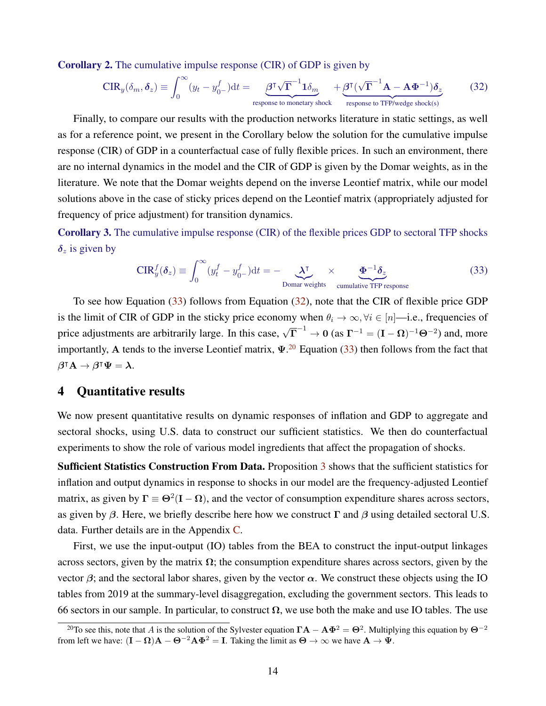Corollary 2. The cumulative impulse response (CIR) of GDP is given by

<span id="page-14-2"></span>
$$
\text{CIR}_y(\delta_m, \delta_z) \equiv \int_0^\infty (y_t - y_{0-}^f) \, \mathrm{d}t = \underbrace{\beta^T \sqrt{\Gamma}^{-1} \mathbf{1} \delta_m}_{\text{response to monetary shock}} + \underbrace{\beta^T (\sqrt{\Gamma}^{-1} \mathbf{A} - \mathbf{A} \Phi^{-1}) \delta_z}_{\text{response to TFP/wedge shock(s)}} \tag{32}
$$

Finally, to compare our results with the production networks literature in static settings, as well as for a reference point, we present in the Corollary below the solution for the cumulative impulse response (CIR) of GDP in a counterfactual case of fully flexible prices. In such an environment, there are no internal dynamics in the model and the CIR of GDP is given by the Domar weights, as in the literature. We note that the Domar weights depend on the inverse Leontief matrix, while our model solutions above in the case of sticky prices depend on the Leontief matrix (appropriately adjusted for frequency of price adjustment) for transition dynamics.

Corollary 3. The cumulative impulse response (CIR) of the flexible prices GDP to sectoral TFP shocks  $\delta_z$  is given by

<span id="page-14-1"></span>
$$
\text{CIR}_{y}^{f}(\delta_{z}) \equiv \int_{0}^{\infty} (y_{t}^{f} - y_{0-}^{f}) dt = -\underbrace{\lambda^{\text{T}}}_{\text{Domain weights}} \times \underbrace{\Phi^{-1} \delta_{z}}_{\text{cumulative TFP response}}
$$
(33)

To see how Equation [\(33\)](#page-14-1) follows from Equation [\(32\)](#page-14-2), note that the CIR of flexible price GDP is the limit of CIR of GDP in the sticky price economy when  $\theta_i \to \infty$ ,  $\forall i \in [n]$ —i.e., frequencies of price adjustments are arbitrarily large. In this case,  $\sqrt{\Gamma}^{-1} \to 0$  (as  $\Gamma^{-1} = (\mathbf{I} - \Omega)^{-1} \Theta^{-2}$ ) and, more importantly, A tends to the inverse Leontief matrix,  $\Psi$ <sup>[20](#page-14-3)</sup> Equation [\(33\)](#page-14-1) then follows from the fact that  $\beta^{\dagger} A \rightarrow \beta^{\dagger} \Psi = \lambda.$ 

## <span id="page-14-0"></span>4 Quantitative results

We now present quantitative results on dynamic responses of inflation and GDP to aggregate and sectoral shocks, using U.S. data to construct our sufficient statistics. We then do counterfactual experiments to show the role of various model ingredients that affect the propagation of shocks.

Sufficient Statistics Construction From Data. Proposition [3](#page-13-2) shows that the sufficient statistics for inflation and output dynamics in response to shocks in our model are the frequency-adjusted Leontief matrix, as given by  $\Gamma \equiv \Theta^2(I - \Omega)$ , and the vector of consumption expenditure shares across sectors, as given by  $\beta$ . Here, we briefly describe here how we construct  $\Gamma$  and  $\beta$  using detailed sectoral U.S. data. Further details are in the Appendix [C.](#page-36-0)

First, we use the input-output (IO) tables from the BEA to construct the input-output linkages across sectors, given by the matrix  $\Omega$ ; the consumption expenditure shares across sectors, given by the vector  $\beta$ ; and the sectoral labor shares, given by the vector  $\alpha$ . We construct these objects using the IO tables from 2019 at the summary-level disaggregation, excluding the government sectors. This leads to 66 sectors in our sample. In particular, to construct  $\Omega$ , we use both the make and use IO tables. The use

<span id="page-14-3"></span><sup>&</sup>lt;sup>20</sup>To see this, note that A is the solution of the Sylvester equation  $\Gamma A - A\Phi^2 = \Theta^2$ . Multiplying this equation by  $\Theta^{-2}$ from left we have:  $(I - \Omega)A - \Theta^{-2}A\Phi^2 = I$ . Taking the limit as  $\Theta \to \infty$  we have  $A \to \Psi$ .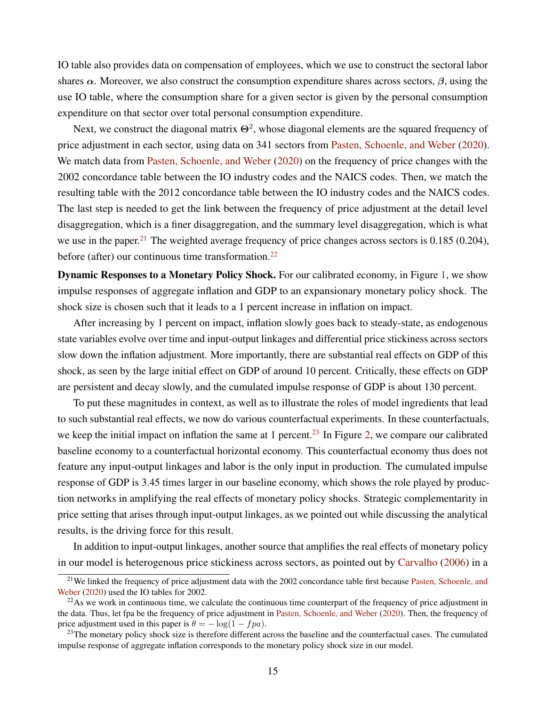IO table also provides data on compensation of employees, which we use to construct the sectoral labor shares  $\alpha$ . Moreover, we also construct the consumption expenditure shares across sectors,  $\beta$ , using the use IO table, where the consumption share for a given sector is given by the personal consumption expenditure on that sector over total personal consumption expenditure.

Next, we construct the diagonal matrix  $\Theta^2$ , whose diagonal elements are the squared frequency of price adjustment in each sector, using data on 341 sectors from [Pasten, Schoenle, and Weber](#page-19-4) [\(2020\)](#page-19-4). We match data from [Pasten, Schoenle, and Weber](#page-19-4) [\(2020\)](#page-19-4) on the frequency of price changes with the 2002 concordance table between the IO industry codes and the NAICS codes. Then, we match the resulting table with the 2012 concordance table between the IO industry codes and the NAICS codes. The last step is needed to get the link between the frequency of price adjustment at the detail level disaggregation, which is a finer disaggregation, and the summary level disaggregation, which is what we use in the paper.<sup>[21](#page-15-0)</sup> The weighted average frequency of price changes across sectors is  $0.185$  ( $0.204$ ), before (after) our continuous time transformation.<sup>[22](#page-15-1)</sup>

Dynamic Responses to a Monetary Policy Shock. For our calibrated economy, in Figure [1,](#page-20-0) we show impulse responses of aggregate inflation and GDP to an expansionary monetary policy shock. The shock size is chosen such that it leads to a 1 percent increase in inflation on impact.

After increasing by 1 percent on impact, inflation slowly goes back to steady-state, as endogenous state variables evolve over time and input-output linkages and differential price stickiness across sectors slow down the inflation adjustment. More importantly, there are substantial real effects on GDP of this shock, as seen by the large initial effect on GDP of around 10 percent. Critically, these effects on GDP are persistent and decay slowly, and the cumulated impulse response of GDP is about 130 percent.

To put these magnitudes in context, as well as to illustrate the roles of model ingredients that lead to such substantial real effects, we now do various counterfactual experiments. In these counterfactuals, we keep the initial impact on inflation the same at 1 percent.<sup>[23](#page-15-2)</sup> In Figure [2,](#page-21-0) we compare our calibrated baseline economy to a counterfactual horizontal economy. This counterfactual economy thus does not feature any input-output linkages and labor is the only input in production. The cumulated impulse response of GDP is 3.45 times larger in our baseline economy, which shows the role played by production networks in amplifying the real effects of monetary policy shocks. Strategic complementarity in price setting that arises through input-output linkages, as we pointed out while discussing the analytical results, is the driving force for this result.

In addition to input-output linkages, another source that amplifies the real effects of monetary policy in our model is heterogenous price stickiness across sectors, as pointed out by [Carvalho](#page-19-22) [\(2006\)](#page-19-22) in a

<span id="page-15-0"></span> $21$ We linked the frequency of price adjustment data with the 2002 concordance table first because [Pasten, Schoenle, and](#page-19-4) [Weber](#page-19-4) [\(2020\)](#page-19-4) used the IO tables for 2002.

<span id="page-15-1"></span> $^{22}$ As we work in continuous time, we calculate the continuous time counterpart of the frequency of price adjustment in the data. Thus, let fpa be the frequency of price adjustment in [Pasten, Schoenle, and Weber](#page-19-4) [\(2020\)](#page-19-4). Then, the frequency of price adjustment used in this paper is  $\theta = -\log(1 - fpa)$ .

<span id="page-15-2"></span> $23$ The monetary policy shock size is therefore different across the baseline and the counterfactual cases. The cumulated impulse response of aggregate inflation corresponds to the monetary policy shock size in our model.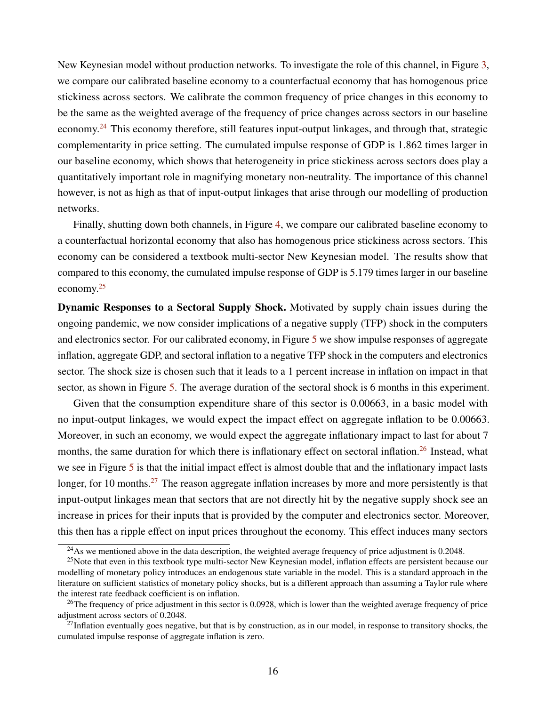New Keynesian model without production networks. To investigate the role of this channel, in Figure [3,](#page-22-0) we compare our calibrated baseline economy to a counterfactual economy that has homogenous price stickiness across sectors. We calibrate the common frequency of price changes in this economy to be the same as the weighted average of the frequency of price changes across sectors in our baseline economy.<sup>[24](#page-16-0)</sup> This economy therefore, still features input-output linkages, and through that, strategic complementarity in price setting. The cumulated impulse response of GDP is 1.862 times larger in our baseline economy, which shows that heterogeneity in price stickiness across sectors does play a quantitatively important role in magnifying monetary non-neutrality. The importance of this channel however, is not as high as that of input-output linkages that arise through our modelling of production networks.

Finally, shutting down both channels, in Figure [4,](#page-23-0) we compare our calibrated baseline economy to a counterfactual horizontal economy that also has homogenous price stickiness across sectors. This economy can be considered a textbook multi-sector New Keynesian model. The results show that compared to this economy, the cumulated impulse response of GDP is 5.179 times larger in our baseline economy.[25](#page-16-1)

Dynamic Responses to a Sectoral Supply Shock. Motivated by supply chain issues during the ongoing pandemic, we now consider implications of a negative supply (TFP) shock in the computers and electronics sector. For our calibrated economy, in Figure [5](#page-24-0) we show impulse responses of aggregate inflation, aggregate GDP, and sectoral inflation to a negative TFP shock in the computers and electronics sector. The shock size is chosen such that it leads to a 1 percent increase in inflation on impact in that sector, as shown in Figure [5.](#page-24-0) The average duration of the sectoral shock is 6 months in this experiment.

Given that the consumption expenditure share of this sector is 0.00663, in a basic model with no input-output linkages, we would expect the impact effect on aggregate inflation to be 0.00663. Moreover, in such an economy, we would expect the aggregate inflationary impact to last for about 7 months, the same duration for which there is inflationary effect on sectoral inflation.<sup>[26](#page-16-2)</sup> Instead, what we see in Figure [5](#page-24-0) is that the initial impact effect is almost double that and the inflationary impact lasts longer, for 10 months.<sup>[27](#page-16-3)</sup> The reason aggregate inflation increases by more and more persistently is that input-output linkages mean that sectors that are not directly hit by the negative supply shock see an increase in prices for their inputs that is provided by the computer and electronics sector. Moreover, this then has a ripple effect on input prices throughout the economy. This effect induces many sectors

<span id="page-16-1"></span><span id="page-16-0"></span><sup>&</sup>lt;sup>24</sup>As we mentioned above in the data description, the weighted average frequency of price adjustment is 0.2048.

<sup>&</sup>lt;sup>25</sup>Note that even in this textbook type multi-sector New Keynesian model, inflation effects are persistent because our modelling of monetary policy introduces an endogenous state variable in the model. This is a standard approach in the literature on sufficient statistics of monetary policy shocks, but is a different approach than assuming a Taylor rule where the interest rate feedback coefficient is on inflation.

<span id="page-16-2"></span><sup>&</sup>lt;sup>26</sup>The frequency of price adjustment in this sector is 0.0928, which is lower than the weighted average frequency of price adjustment across sectors of 0.2048.

<span id="page-16-3"></span> $^{27}$ Inflation eventually goes negative, but that is by construction, as in our model, in response to transitory shocks, the cumulated impulse response of aggregate inflation is zero.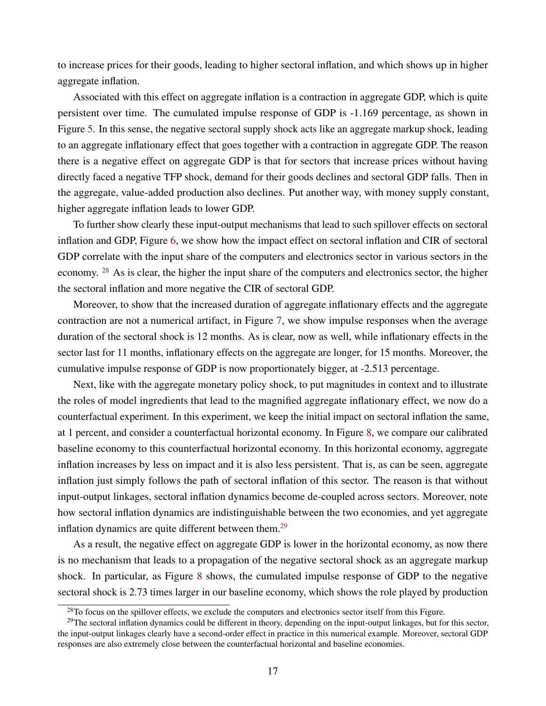to increase prices for their goods, leading to higher sectoral inflation, and which shows up in higher aggregate inflation.

Associated with this effect on aggregate inflation is a contraction in aggregate GDP, which is quite persistent over time. The cumulated impulse response of GDP is -1.169 percentage, as shown in Figure [5.](#page-24-0) In this sense, the negative sectoral supply shock acts like an aggregate markup shock, leading to an aggregate inflationary effect that goes together with a contraction in aggregate GDP. The reason there is a negative effect on aggregate GDP is that for sectors that increase prices without having directly faced a negative TFP shock, demand for their goods declines and sectoral GDP falls. Then in the aggregate, value-added production also declines. Put another way, with money supply constant, higher aggregate inflation leads to lower GDP.

To further show clearly these input-output mechanisms that lead to such spillover effects on sectoral inflation and GDP, Figure [6,](#page-25-0) we show how the impact effect on sectoral inflation and CIR of sectoral GDP correlate with the input share of the computers and electronics sector in various sectors in the economy. <sup>[28](#page-17-0)</sup> As is clear, the higher the input share of the computers and electronics sector, the higher the sectoral inflation and more negative the CIR of sectoral GDP.

Moreover, to show that the increased duration of aggregate inflationary effects and the aggregate contraction are not a numerical artifact, in Figure [7,](#page-26-0) we show impulse responses when the average duration of the sectoral shock is 12 months. As is clear, now as well, while inflationary effects in the sector last for 11 months, inflationary effects on the aggregate are longer, for 15 months. Moreover, the cumulative impulse response of GDP is now proportionately bigger, at -2.513 percentage.

Next, like with the aggregate monetary policy shock, to put magnitudes in context and to illustrate the roles of model ingredients that lead to the magnified aggregate inflationary effect, we now do a counterfactual experiment. In this experiment, we keep the initial impact on sectoral inflation the same, at 1 percent, and consider a counterfactual horizontal economy. In Figure [8,](#page-27-0) we compare our calibrated baseline economy to this counterfactual horizontal economy. In this horizontal economy, aggregate inflation increases by less on impact and it is also less persistent. That is, as can be seen, aggregate inflation just simply follows the path of sectoral inflation of this sector. The reason is that without input-output linkages, sectoral inflation dynamics become de-coupled across sectors. Moreover, note how sectoral inflation dynamics are indistinguishable between the two economies, and yet aggregate inflation dynamics are quite different between them. $^{29}$  $^{29}$  $^{29}$ 

As a result, the negative effect on aggregate GDP is lower in the horizontal economy, as now there is no mechanism that leads to a propagation of the negative sectoral shock as an aggregate markup shock. In particular, as Figure [8](#page-27-0) shows, the cumulated impulse response of GDP to the negative sectoral shock is 2.73 times larger in our baseline economy, which shows the role played by production

<span id="page-17-1"></span><span id="page-17-0"></span> $28$ To focus on the spillover effects, we exclude the computers and electronics sector itself from this Figure.

<sup>&</sup>lt;sup>29</sup>The sectoral inflation dynamics could be different in theory, depending on the input-output linkages, but for this sector, the input-output linkages clearly have a second-order effect in practice in this numerical example. Moreover, sectoral GDP responses are also extremely close between the counterfactual horizontal and baseline economies.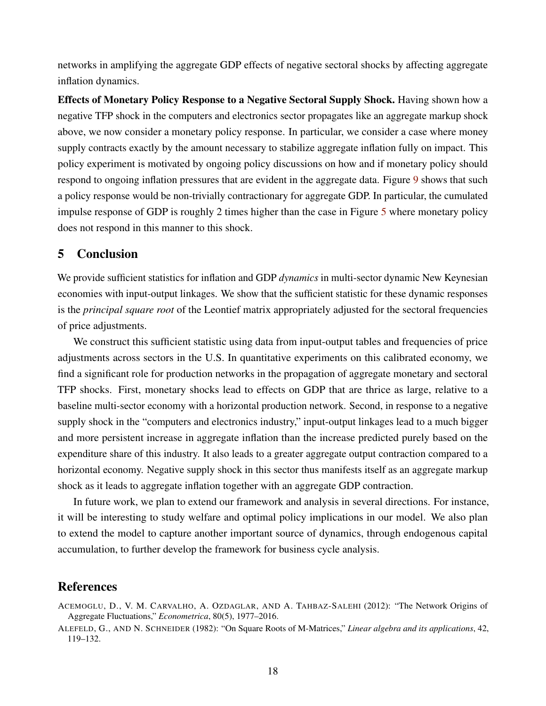networks in amplifying the aggregate GDP effects of negative sectoral shocks by affecting aggregate inflation dynamics.

Effects of Monetary Policy Response to a Negative Sectoral Supply Shock. Having shown how a negative TFP shock in the computers and electronics sector propagates like an aggregate markup shock above, we now consider a monetary policy response. In particular, we consider a case where money supply contracts exactly by the amount necessary to stabilize aggregate inflation fully on impact. This policy experiment is motivated by ongoing policy discussions on how and if monetary policy should respond to ongoing inflation pressures that are evident in the aggregate data. Figure [9](#page-28-0) shows that such a policy response would be non-trivially contractionary for aggregate GDP. In particular, the cumulated impulse response of GDP is roughly 2 times higher than the case in Figure [5](#page-24-0) where monetary policy does not respond in this manner to this shock.

## <span id="page-18-1"></span>5 Conclusion

We provide sufficient statistics for inflation and GDP *dynamics* in multi-sector dynamic New Keynesian economies with input-output linkages. We show that the sufficient statistic for these dynamic responses is the *principal square root* of the Leontief matrix appropriately adjusted for the sectoral frequencies of price adjustments.

We construct this sufficient statistic using data from input-output tables and frequencies of price adjustments across sectors in the U.S. In quantitative experiments on this calibrated economy, we find a significant role for production networks in the propagation of aggregate monetary and sectoral TFP shocks. First, monetary shocks lead to effects on GDP that are thrice as large, relative to a baseline multi-sector economy with a horizontal production network. Second, in response to a negative supply shock in the "computers and electronics industry," input-output linkages lead to a much bigger and more persistent increase in aggregate inflation than the increase predicted purely based on the expenditure share of this industry. It also leads to a greater aggregate output contraction compared to a horizontal economy. Negative supply shock in this sector thus manifests itself as an aggregate markup shock as it leads to aggregate inflation together with an aggregate GDP contraction.

In future work, we plan to extend our framework and analysis in several directions. For instance, it will be interesting to study welfare and optimal policy implications in our model. We also plan to extend the model to capture another important source of dynamics, through endogenous capital accumulation, to further develop the framework for business cycle analysis.

## References

<span id="page-18-0"></span>ACEMOGLU, D., V. M. CARVALHO, A. OZDAGLAR, AND A. TAHBAZ-SALEHI (2012): "The Network Origins of Aggregate Fluctuations," *Econometrica*, 80(5), 1977–2016.

<span id="page-18-2"></span>ALEFELD, G., AND N. SCHNEIDER (1982): "On Square Roots of M-Matrices," *Linear algebra and its applications*, 42, 119–132.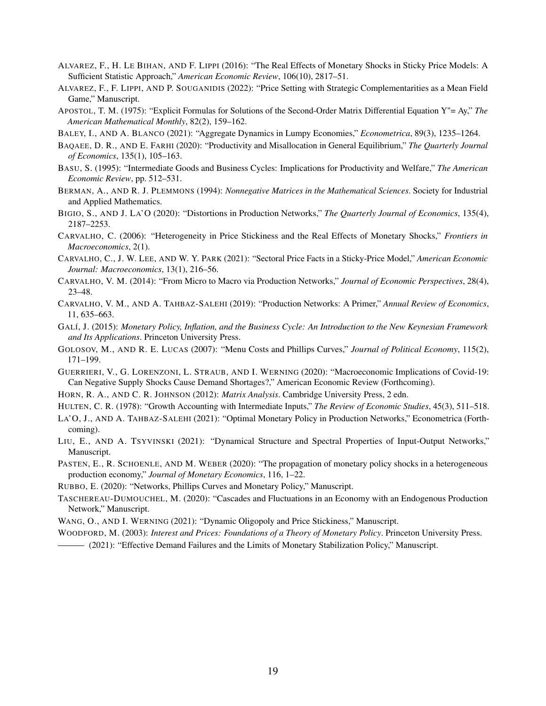- <span id="page-19-14"></span>ALVAREZ, F., H. LE BIHAN, AND F. LIPPI (2016): "The Real Effects of Monetary Shocks in Sticky Price Models: A Sufficient Statistic Approach," *American Economic Review*, 106(10), 2817–51.
- <span id="page-19-8"></span>ALVAREZ, F., F. LIPPI, AND P. SOUGANIDIS (2022): "Price Setting with Strategic Complementarities as a Mean Field Game," Manuscript.
- <span id="page-19-24"></span>APOSTOL, T. M. (1975): "Explicit Formulas for Solutions of the Second-Order Matrix Differential Equation Y"= Ay," *The American Mathematical Monthly*, 82(2), 159–162.
- <span id="page-19-15"></span>BALEY, I., AND A. BLANCO (2021): "Aggregate Dynamics in Lumpy Economies," *Econometrica*, 89(3), 1235–1264.
- <span id="page-19-9"></span>BAQAEE, D. R., AND E. FARHI (2020): "Productivity and Misallocation in General Equilibrium," *The Quarterly Journal of Economics*, 135(1), 105–163.
- <span id="page-19-5"></span>BASU, S. (1995): "Intermediate Goods and Business Cycles: Implications for Productivity and Welfare," *The American Economic Review*, pp. 512–531.
- <span id="page-19-21"></span>BERMAN, A., AND R. J. PLEMMONS (1994): *Nonnegative Matrices in the Mathematical Sciences*. Society for Industrial and Applied Mathematics.
- <span id="page-19-10"></span>BIGIO, S., AND J. LA'O (2020): "Distortions in Production Networks," *The Quarterly Journal of Economics*, 135(4), 2187–2253.
- <span id="page-19-22"></span>CARVALHO, C. (2006): "Heterogeneity in Price Stickiness and the Real Effects of Monetary Shocks," *Frontiers in Macroeconomics*, 2(1).
- <span id="page-19-0"></span>CARVALHO, C., J. W. LEE, AND W. Y. PARK (2021): "Sectoral Price Facts in a Sticky-Price Model," *American Economic Journal: Macroeconomics*, 13(1), 216–56.
- <span id="page-19-11"></span>CARVALHO, V. M. (2014): "From Micro to Macro via Production Networks," *Journal of Economic Perspectives*, 28(4), 23–48.
- <span id="page-19-12"></span>CARVALHO, V. M., AND A. TAHBAZ-SALEHI (2019): "Production Networks: A Primer," *Annual Review of Economics*, 11, 635–663.
- <span id="page-19-19"></span>GALÍ, J. (2015): *Monetary Policy, Inflation, and the Business Cycle: An Introduction to the New Keynesian Framework and Its Applications*. Princeton University Press.
- <span id="page-19-18"></span>GOLOSOV, M., AND R. E. LUCAS (2007): "Menu Costs and Phillips Curves," *Journal of Political Economy*, 115(2), 171–199.
- <span id="page-19-16"></span>GUERRIERI, V., G. LORENZONI, L. STRAUB, AND I. WERNING (2020): "Macroeconomic Implications of Covid-19: Can Negative Supply Shocks Cause Demand Shortages?," American Economic Review (Forthcoming).
- <span id="page-19-23"></span>HORN, R. A., AND C. R. JOHNSON (2012): *Matrix Analysis*. Cambridge University Press, 2 edn.

<span id="page-19-20"></span>HULTEN, C. R. (1978): "Growth Accounting with Intermediate Inputs," *The Review of Economic Studies*, 45(3), 511–518.

- <span id="page-19-1"></span>LA'O, J., AND A. TAHBAZ-SALEHI (2021): "Optimal Monetary Policy in Production Networks," Econometrica (Forthcoming).
- <span id="page-19-17"></span>LIU, E., AND A. TSYVINSKI (2021): "Dynamical Structure and Spectral Properties of Input-Output Networks," Manuscript.
- <span id="page-19-4"></span>PASTEN, E., R. SCHOENLE, AND M. WEBER (2020): "The propagation of monetary policy shocks in a heterogeneous production economy," *Journal of Monetary Economics*, 116, 1–22.
- <span id="page-19-3"></span>RUBBO, E. (2020): "Networks, Phillips Curves and Monetary Policy," Manuscript.
- <span id="page-19-13"></span>TASCHEREAU-DUMOUCHEL, M. (2020): "Cascades and Fluctuations in an Economy with an Endogenous Production Network," Manuscript.
- <span id="page-19-7"></span>WANG, O., AND I. WERNING (2021): "Dynamic Oligopoly and Price Stickiness," Manuscript.

<span id="page-19-6"></span>WOODFORD, M. (2003): *Interest and Prices: Foundations of a Theory of Monetary Policy*. Princeton University Press.

<span id="page-19-2"></span>(2021): "Effective Demand Failures and the Limits of Monetary Stabilization Policy," Manuscript.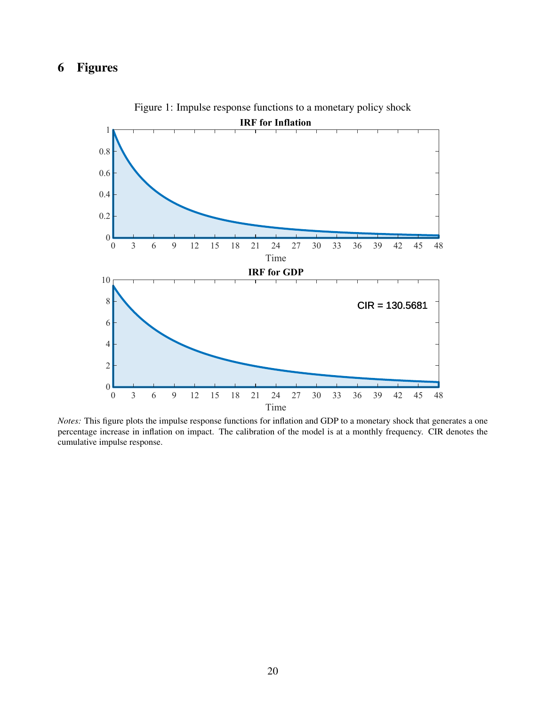## <span id="page-20-0"></span>6 Figures



Figure 1: Impulse response functions to a monetary policy shock

*Notes:* This figure plots the impulse response functions for inflation and GDP to a monetary shock that generates a one percentage increase in inflation on impact. The calibration of the model is at a monthly frequency. CIR denotes the cumulative impulse response.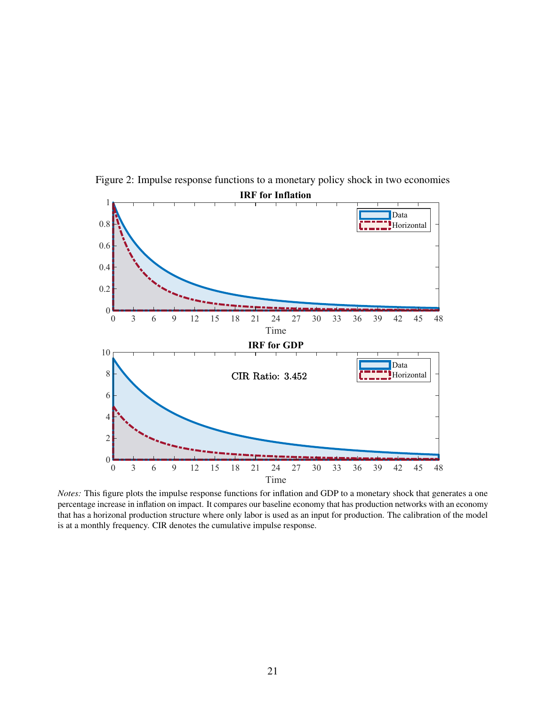

<span id="page-21-0"></span>Figure 2: Impulse response functions to a monetary policy shock in two economies

*Notes:* This figure plots the impulse response functions for inflation and GDP to a monetary shock that generates a one percentage increase in inflation on impact. It compares our baseline economy that has production networks with an economy that has a horizonal production structure where only labor is used as an input for production. The calibration of the model is at a monthly frequency. CIR denotes the cumulative impulse response.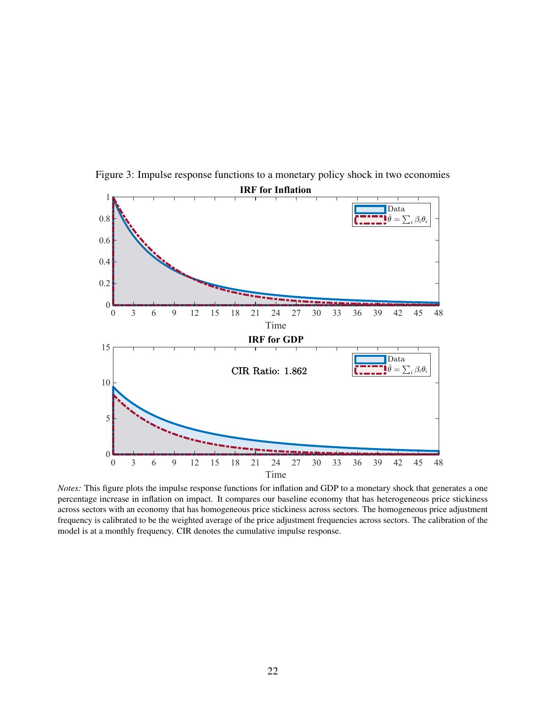

<span id="page-22-0"></span>Figure 3: Impulse response functions to a monetary policy shock in two economies

*Notes:* This figure plots the impulse response functions for inflation and GDP to a monetary shock that generates a one percentage increase in inflation on impact. It compares our baseline economy that has heterogeneous price stickiness across sectors with an economy that has homogeneous price stickiness across sectors. The homogeneous price adjustment frequency is calibrated to be the weighted average of the price adjustment frequencies across sectors. The calibration of the model is at a monthly frequency. CIR denotes the cumulative impulse response.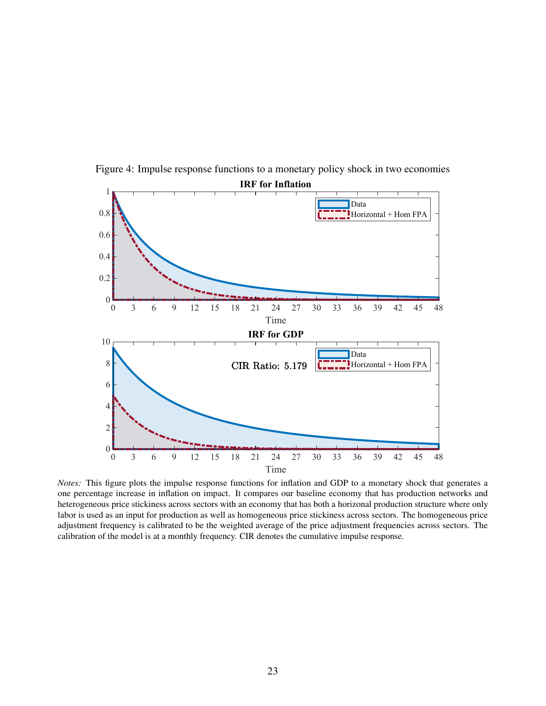

<span id="page-23-0"></span>Figure 4: Impulse response functions to a monetary policy shock in two economies

*Notes:* This figure plots the impulse response functions for inflation and GDP to a monetary shock that generates a one percentage increase in inflation on impact. It compares our baseline economy that has production networks and heterogeneous price stickiness across sectors with an economy that has both a horizonal production structure where only labor is used as an input for production as well as homogeneous price stickiness across sectors. The homogeneous price adjustment frequency is calibrated to be the weighted average of the price adjustment frequencies across sectors. The calibration of the model is at a monthly frequency. CIR denotes the cumulative impulse response.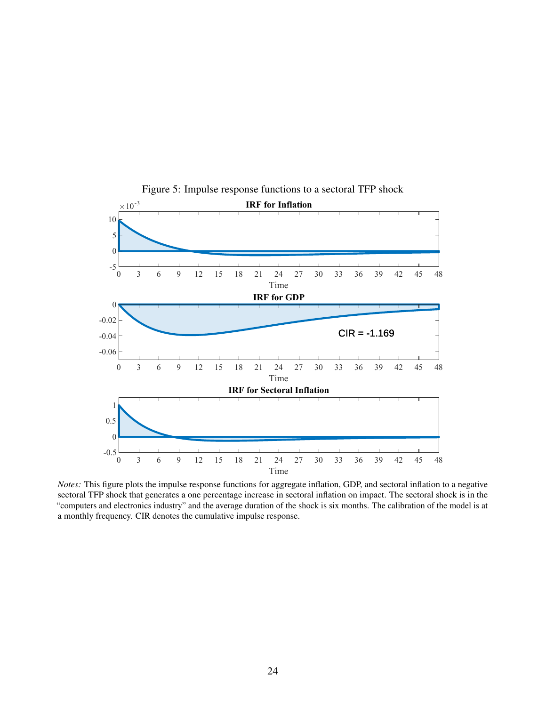<span id="page-24-0"></span>

Figure 5: Impulse response functions to a sectoral TFP shock

*Notes:* This figure plots the impulse response functions for aggregate inflation, GDP, and sectoral inflation to a negative sectoral TFP shock that generates a one percentage increase in sectoral inflation on impact. The sectoral shock is in the "computers and electronics industry" and the average duration of the shock is six months. The calibration of the model is at a monthly frequency. CIR denotes the cumulative impulse response.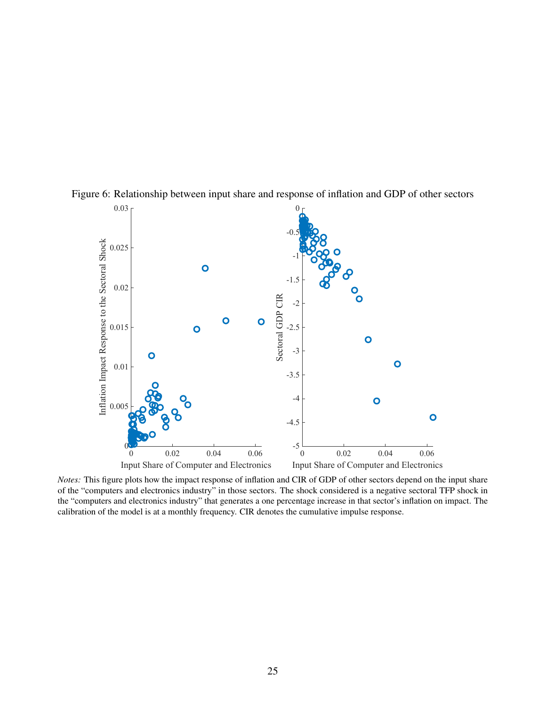

<span id="page-25-0"></span>Figure 6: Relationship between input share and response of inflation and GDP of other sectors

*Notes:* This figure plots how the impact response of inflation and CIR of GDP of other sectors depend on the input share of the "computers and electronics industry" in those sectors. The shock considered is a negative sectoral TFP shock in the "computers and electronics industry" that generates a one percentage increase in that sector's inflation on impact. The calibration of the model is at a monthly frequency. CIR denotes the cumulative impulse response.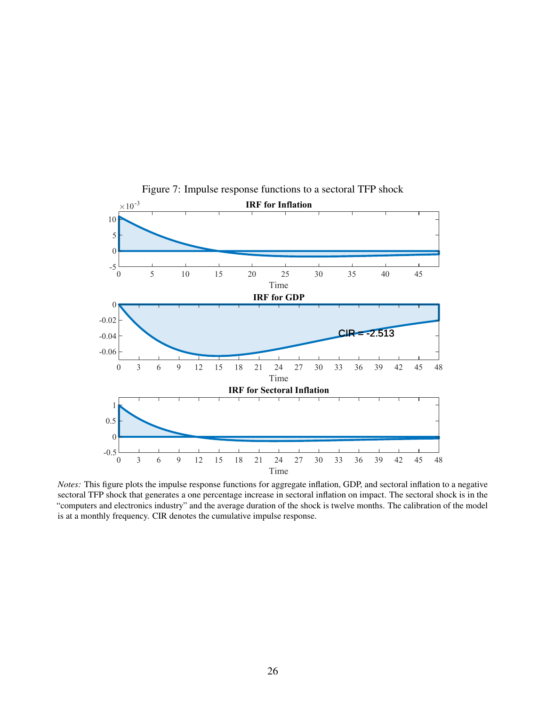<span id="page-26-0"></span>

Figure 7: Impulse response functions to a sectoral TFP shock

*Notes:* This figure plots the impulse response functions for aggregate inflation, GDP, and sectoral inflation to a negative sectoral TFP shock that generates a one percentage increase in sectoral inflation on impact. The sectoral shock is in the "computers and electronics industry" and the average duration of the shock is twelve months. The calibration of the model is at a monthly frequency. CIR denotes the cumulative impulse response.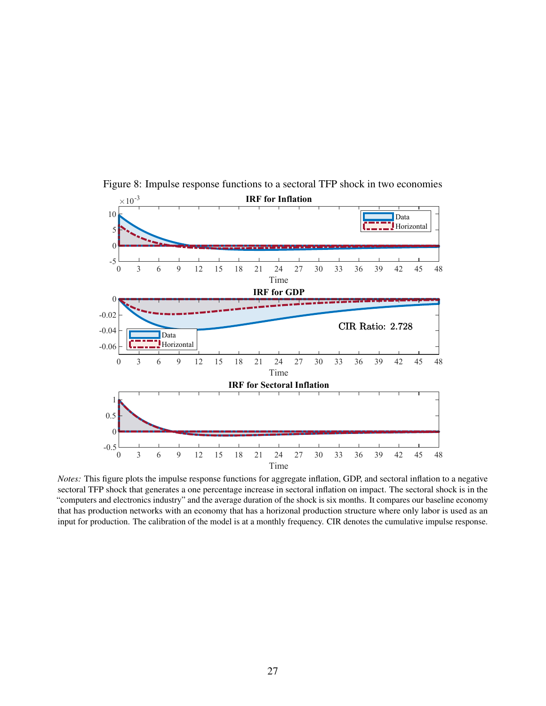<span id="page-27-0"></span>

Figure 8: Impulse response functions to a sectoral TFP shock in two economies

*Notes:* This figure plots the impulse response functions for aggregate inflation, GDP, and sectoral inflation to a negative sectoral TFP shock that generates a one percentage increase in sectoral inflation on impact. The sectoral shock is in the "computers and electronics industry" and the average duration of the shock is six months. It compares our baseline economy that has production networks with an economy that has a horizonal production structure where only labor is used as an input for production. The calibration of the model is at a monthly frequency. CIR denotes the cumulative impulse response.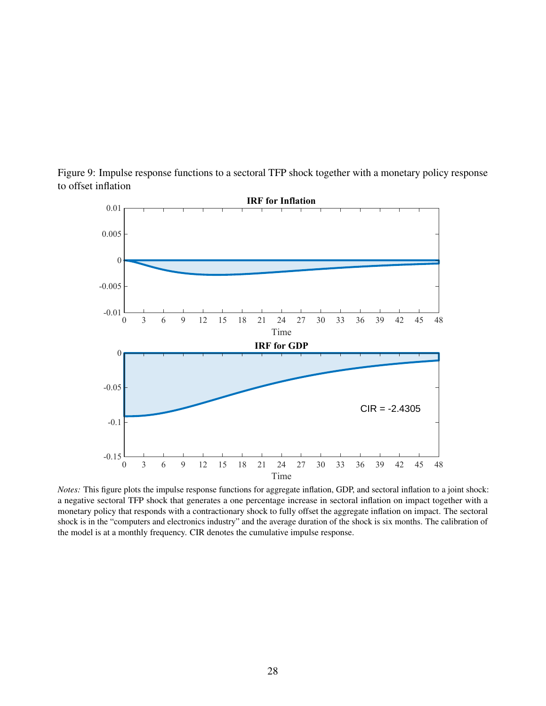<span id="page-28-0"></span>Figure 9: Impulse response functions to a sectoral TFP shock together with a monetary policy response to offset inflation



*Notes:* This figure plots the impulse response functions for aggregate inflation, GDP, and sectoral inflation to a joint shock: a negative sectoral TFP shock that generates a one percentage increase in sectoral inflation on impact together with a monetary policy that responds with a contractionary shock to fully offset the aggregate inflation on impact. The sectoral shock is in the "computers and electronics industry" and the average duration of the shock is six months. The calibration of the model is at a monthly frequency. CIR denotes the cumulative impulse response.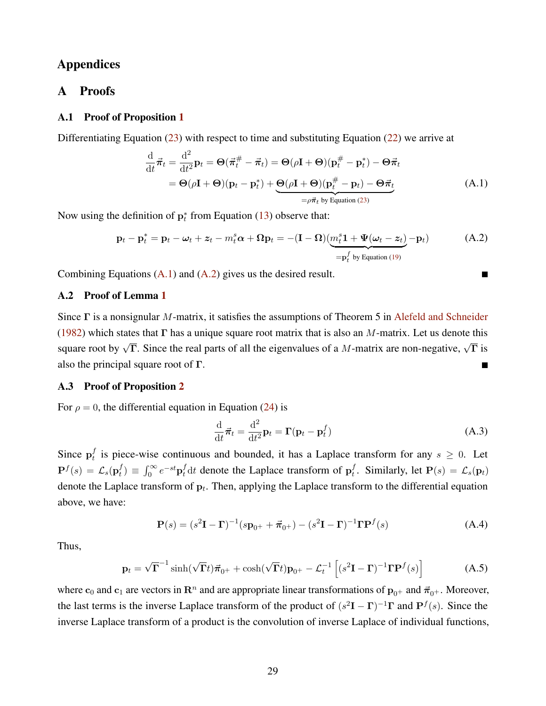## Appendices

## A Proofs

## A.1 Proof of Proposition [1](#page-11-3)

Differentiating Equation [\(23\)](#page-10-5) with respect to time and substituting Equation [\(22\)](#page-10-6) we arrive at

$$
\frac{\mathrm{d}}{\mathrm{d}t}\vec{\pi}_t = \frac{\mathrm{d}^2}{\mathrm{d}t^2}\mathbf{p}_t = \Theta(\vec{\pi}_t^{\#} - \vec{\pi}_t) = \Theta(\rho\mathbf{I} + \Theta)(\mathbf{p}_t^{\#} - \mathbf{p}_t^*) - \Theta\vec{\pi}_t
$$
\n
$$
= \Theta(\rho\mathbf{I} + \Theta)(\mathbf{p}_t - \mathbf{p}_t^*) + \underbrace{\Theta(\rho\mathbf{I} + \Theta)(\mathbf{p}_t^{\#} - \mathbf{p}_t) - \Theta\vec{\pi}_t}_{= \rho\vec{\pi}_t \text{ by Equation (23)}}\tag{A.1}
$$

Now using the definition of  $p_t^*$  from Equation [\(13\)](#page-8-3) observe that:

$$
\mathbf{p}_t - \mathbf{p}_t^* = \mathbf{p}_t - \boldsymbol{\omega}_t + \boldsymbol{z}_t - m_t^s \boldsymbol{\alpha} + \boldsymbol{\Omega} \mathbf{p}_t = -(\mathbf{I} - \boldsymbol{\Omega}) \underbrace{(m_t^s \mathbf{1} + \boldsymbol{\Psi}(\boldsymbol{\omega}_t - \boldsymbol{z}_t)}_{=\mathbf{p}_t^f \text{ by Equation (19)}} - \mathbf{p}_t)
$$
(A.2)

Combining Equations [\(A.1\)](#page-29-0) and [\(A.2\)](#page-29-1) gives us the desired result.

## A.2 Proof of Lemma [1](#page-11-5)

Since Γ is a nonsignular M-matrix, it satisfies the assumptions of Theorem 5 in [Alefeld and Schneider](#page-18-2) [\(1982\)](#page-18-2) which states that  $\Gamma$  has a unique square root matrix that is also an M-matrix. Let us denote this square root by  $\sqrt{\Gamma}$ . Since the real parts of all the eigenvalues of a M-matrix are non-negative,  $\sqrt{\Gamma}$  is also the principal square root of Γ.  $\blacksquare$ 

### A.3 Proof of Proposition [2](#page-12-4)

For  $\rho = 0$ , the differential equation in Equation [\(24\)](#page-11-1) is

$$
\frac{\mathrm{d}}{\mathrm{d}t}\vec{\pi}_t = \frac{\mathrm{d}^2}{\mathrm{d}t^2}\mathbf{p}_t = \mathbf{\Gamma}(\mathbf{p}_t - \mathbf{p}_t^f)
$$
\n(A.3)

<span id="page-29-2"></span><span id="page-29-1"></span><span id="page-29-0"></span>П

Since  $\mathbf{p}_t^f$  $t \atop t$  is piece-wise continuous and bounded, it has a Laplace transform for any  $s \geq 0$ . Let  $\mathbf{P}^f(s) \, = \, \mathcal{L}_s(\mathbf{p}^f_t$  $t(t) \equiv \int_0^\infty e^{-st} \mathbf{p}_t^f dt$  denote the Laplace transform of  $\mathbf{p}_t^f$  $t_t^t$ . Similarly, let  $P(s) = \mathcal{L}_s(\mathbf{p}_t)$ denote the Laplace transform of  $p_t$ . Then, applying the Laplace transform to the differential equation above, we have:

$$
\mathbf{P}(s) = (s^2 \mathbf{I} - \mathbf{\Gamma})^{-1} (s \mathbf{p}_{0^+} + \vec{\boldsymbol{\pi}}_{0^+}) - (s^2 \mathbf{I} - \mathbf{\Gamma})^{-1} \mathbf{\Gamma} \mathbf{P}^f(s)
$$
(A.4)

Thus,

$$
\mathbf{p}_t = \sqrt{\mathbf{\Gamma}}^{-1} \sinh(\sqrt{\mathbf{\Gamma}}t)\vec{\boldsymbol{\pi}}_{0^+} + \cosh(\sqrt{\mathbf{\Gamma}}t)\mathbf{p}_{0^+} - \mathcal{L}_t^{-1} \left[ (s^2 \mathbf{I} - \mathbf{\Gamma})^{-1} \mathbf{\Gamma} \mathbf{P}^f(s) \right]
$$
(A.5)

where  $c_0$  and  $c_1$  are vectors in  $\mathbb{R}^n$  and are appropriate linear transformations of  $\mathbf{p}_{0+}$  and  $\vec{\pi}_{0+}$ . Moreover, the last terms is the inverse Laplace transform of the product of  $(s^2I - \Gamma)^{-1}\Gamma$  and  $P^f(s)$ . Since the inverse Laplace transform of a product is the convolution of inverse Laplace of individual functions,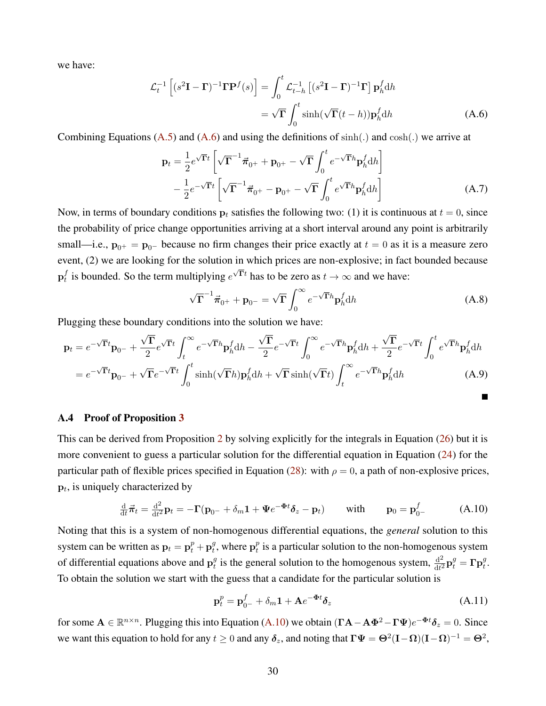we have:

$$
\mathcal{L}_t^{-1} \left[ (s^2 \mathbf{I} - \mathbf{\Gamma})^{-1} \mathbf{\Gamma} \mathbf{P}^f(s) \right] = \int_0^t \mathcal{L}_{t-h}^{-1} \left[ (s^2 \mathbf{I} - \mathbf{\Gamma})^{-1} \mathbf{\Gamma} \right] \mathbf{p}_h^f \mathrm{d}h
$$

$$
= \sqrt{\mathbf{\Gamma}} \int_0^t \sinh(\sqrt{\mathbf{\Gamma}}(t-h)) \mathbf{p}_h^f \mathrm{d}h \tag{A.6}
$$

Combining Equations  $(A.5)$  and  $(A.6)$  and using the definitions of  $sinh(.)$  and  $cosh(.)$  we arrive at

<span id="page-30-0"></span>
$$
\mathbf{p}_t = \frac{1}{2} e^{\sqrt{\mathbf{\Gamma}}t} \left[ \sqrt{\mathbf{\Gamma}}^{-1} \vec{\pi}_{0^+} + \mathbf{p}_{0^+} - \sqrt{\mathbf{\Gamma}} \int_0^t e^{-\sqrt{\mathbf{\Gamma}}h} \mathbf{p}_h^f \mathrm{d}h \right] -\frac{1}{2} e^{-\sqrt{\mathbf{\Gamma}}t} \left[ \sqrt{\mathbf{\Gamma}}^{-1} \vec{\pi}_{0^+} - \mathbf{p}_{0^+} - \sqrt{\mathbf{\Gamma}} \int_0^t e^{\sqrt{\mathbf{\Gamma}}h} \mathbf{p}_h^f \mathrm{d}h \right]
$$
(A.7)

Now, in terms of boundary conditions  $p_t$  satisfies the following two: (1) it is continuous at  $t = 0$ , since the probability of price change opportunities arriving at a short interval around any point is arbitrarily small—i.e.,  $\mathbf{p}_{0+} = \mathbf{p}_{0-}$  because no firm changes their price exactly at  $t = 0$  as it is a measure zero event, (2) we are looking for the solution in which prices are non-explosive; in fact bounded because  $\mathbf{p}_t^f$ f is bounded. So the term multiplying  $e^{\sqrt{\Gamma}t}$  has to be zero as  $t \to \infty$  and we have:

$$
\sqrt{\Gamma}^{-1}\vec{\pi}_{0^{+}} + \mathbf{p}_{0^{-}} = \sqrt{\Gamma} \int_{0}^{\infty} e^{-\sqrt{\Gamma}h} \mathbf{p}_{h}^{f} dh
$$
 (A.8)

Plugging these boundary conditions into the solution we have:

$$
\mathbf{p}_t = e^{-\sqrt{\mathbf{\Gamma}}t} \mathbf{p}_{0-} + \frac{\sqrt{\mathbf{\Gamma}}}{2} e^{\sqrt{\mathbf{\Gamma}}t} \int_t^{\infty} e^{-\sqrt{\mathbf{\Gamma}}h} \mathbf{p}_h^f \mathrm{d}h - \frac{\sqrt{\mathbf{\Gamma}}}{2} e^{-\sqrt{\mathbf{\Gamma}}t} \int_0^{\infty} e^{-\sqrt{\mathbf{\Gamma}}h} \mathbf{p}_h^f \mathrm{d}h + \frac{\sqrt{\mathbf{\Gamma}}}{2} e^{-\sqrt{\mathbf{\Gamma}}t} \int_0^t e^{\sqrt{\mathbf{\Gamma}}h} \mathbf{p}_h^f \mathrm{d}h
$$

$$
= e^{-\sqrt{\mathbf{\Gamma}}t} \mathbf{p}_{0-} + \sqrt{\mathbf{\Gamma}}e^{-\sqrt{\mathbf{\Gamma}}t} \int_0^t \sinh(\sqrt{\mathbf{\Gamma}}h) \mathbf{p}_h^f \mathrm{d}h + \sqrt{\mathbf{\Gamma}}\sinh(\sqrt{\mathbf{\Gamma}}t) \int_t^{\infty} e^{-\sqrt{\mathbf{\Gamma}}h} \mathbf{p}_h^f \mathrm{d}h \tag{A.9}
$$

#### A.4 Proof of Proposition [3](#page-13-2)

This can be derived from Proposition [2](#page-12-4) by solving explicitly for the integrals in Equation [\(26\)](#page-12-5) but it is more convenient to guess a particular solution for the differential equation in Equation [\(24\)](#page-11-1) for the particular path of flexible prices specified in Equation [\(28\)](#page-13-0): with  $\rho = 0$ , a path of non-explosive prices,  $\mathbf{p}_t$ , is uniquely characterized by

$$
\frac{\mathrm{d}}{\mathrm{d}t}\vec{\pi}_t = \frac{\mathrm{d}^2}{\mathrm{d}t^2}\mathbf{p}_t = -\mathbf{\Gamma}(\mathbf{p}_{0^-} + \delta_m \mathbf{1} + \Psi e^{-\Phi t}\delta_z - \mathbf{p}_t) \quad \text{with} \quad \mathbf{p}_0 = \mathbf{p}_{0^-}^f \quad (A.10)
$$

Noting that this is a system of non-homogenous differential equations, the *general* solution to this system can be written as  $\mathbf{p}_t = \mathbf{p}_t^p + \mathbf{p}_t^g$  $t^g$ , where  $\mathbf{p}_t^p$  $_t^p$  is a particular solution to the non-homogenous system of differential equations above and  $p_t^g$  $\frac{g}{t}$  is the general solution to the homogenous system,  $\frac{d^2}{dt^2}$  $\frac{\mathrm{d}^2}{\mathrm{d}t^2} \mathbf{p}^g_t = \mathbf{\Gamma} \mathbf{p}^g_t.$ To obtain the solution we start with the guess that a candidate for the particular solution is

<span id="page-30-1"></span>
$$
\mathbf{p}_t^p = \mathbf{p}_{0-}^f + \delta_m \mathbf{1} + \mathbf{A} e^{-\Phi t} \delta_z \tag{A.11}
$$

for some  $A \in \mathbb{R}^{n \times n}$ . Plugging this into Equation [\(A.10\)](#page-30-1) we obtain  $(\Gamma A - A\Phi^2 - \Gamma \Psi)e^{-\Phi t}\delta_z = 0$ . Since we want this equation to hold for any  $t \ge 0$  and any  $\delta_z$ , and noting that  $\Gamma \Psi = \Theta^2 (\mathbf{I} - \mathbf{\Omega})(\mathbf{I} - \mathbf{\Omega})^{-1} = \Theta^2$ ,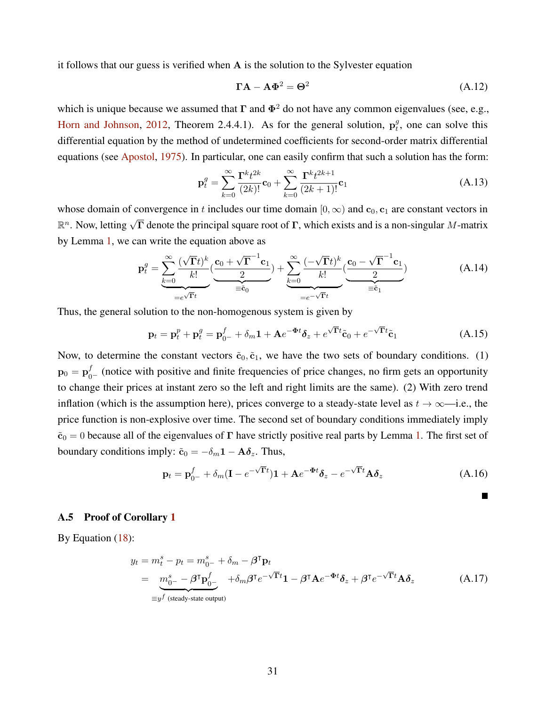it follows that our guess is verified when A is the solution to the Sylvester equation

$$
\Gamma A - A\Phi^2 = \Theta^2 \tag{A.12}
$$

which is unique because we assumed that  $\Gamma$  and  $\Phi^2$  do not have any common eigenvalues (see, e.g., [Horn and Johnson,](#page-19-23) [2012,](#page-19-23) Theorem 2.4.4.1). As for the general solution,  $p_t^g$  $t<sup>g</sup>$ , one can solve this differential equation by the method of undetermined coefficients for second-order matrix differential equations (see [Apostol,](#page-19-24) [1975\)](#page-19-24). In particular, one can easily confirm that such a solution has the form:

$$
\mathbf{p}_t^g = \sum_{k=0}^{\infty} \frac{\mathbf{\Gamma}^k t^{2k}}{(2k)!} \mathbf{c}_0 + \sum_{k=0}^{\infty} \frac{\mathbf{\Gamma}^k t^{2k+1}}{(2k+1)!} \mathbf{c}_1
$$
 (A.13)

whose domain of convergence in t includes our time domain  $[0, \infty)$  and  $c_0, c_1$  are constant vectors in  $\mathbb{R}^n$ . Now, letting  $\sqrt{\Gamma}$  denote the principal square root of  $\Gamma$ , which exists and is a non-singular M-matrix by Lemma [1,](#page-11-5) we can write the equation above as

$$
\mathbf{p}_t^g = \underbrace{\sum_{k=0}^{\infty} \frac{(\sqrt{\mathbf{\Gamma}} t)^k}{k!} (\underbrace{\mathbf{c}_0 + \sqrt{\mathbf{\Gamma}}^{-1} \mathbf{c}_1}_{\equiv \tilde{\mathbf{c}}_0})}_{= \tilde{\mathbf{c}}_0} + \underbrace{\sum_{k=0}^{\infty} \frac{(-\sqrt{\mathbf{\Gamma}} t)^k}{k!} (\underbrace{\mathbf{c}_0 - \sqrt{\mathbf{\Gamma}}^{-1} \mathbf{c}_1}_{\equiv \tilde{\mathbf{c}}_1})}{\sum_{k=0}^{\infty} \frac{(\sqrt{\mathbf{\Gamma}} t)^k}{k!} (\mathbf{A}.14)}
$$

Thus, the general solution to the non-homogenous system is given by

$$
\mathbf{p}_t = \mathbf{p}_t^p + \mathbf{p}_t^g = \mathbf{p}_{0-}^f + \delta_m \mathbf{1} + \mathbf{A} e^{-\Phi t} \delta_z + e^{\sqrt{\Gamma} t} \tilde{\mathbf{c}}_0 + e^{-\sqrt{\Gamma} t} \tilde{\mathbf{c}}_1
$$
(A.15)

Now, to determine the constant vectors  $\tilde{c}_0$ ,  $\tilde{c}_1$ , we have the two sets of boundary conditions. (1)  $\mathbf{p}_0 = \mathbf{p}_{0-}^f$  (notice with positive and finite frequencies of price changes, no firm gets an opportunity to change their prices at instant zero so the left and right limits are the same). (2) With zero trend inflation (which is the assumption here), prices converge to a steady-state level as  $t \to \infty$ —i.e., the price function is non-explosive over time. The second set of boundary conditions immediately imply  $\tilde{c}_0 = 0$  because all of the eigenvalues of  $\Gamma$  have strictly positive real parts by Lemma [1.](#page-11-5) The first set of boundary conditions imply:  $\tilde{c}_0 = -\delta_m \mathbf{1} - \mathbf{A} \delta_z$ . Thus,

$$
\mathbf{p}_t = \mathbf{p}_{0-}^f + \delta_m (\mathbf{I} - e^{-\sqrt{\mathbf{\Gamma}}t}) \mathbf{1} + \mathbf{A} e^{-\Phi t} \delta_z - e^{-\sqrt{\mathbf{\Gamma}}t} \mathbf{A} \delta_z \tag{A.16}
$$

$$
\blacksquare
$$

#### A.5 Proof of Corollary [1](#page-13-3)

By Equation [\(18\)](#page-9-1):

$$
y_t = m_t^s - p_t = m_{0^-}^s + \delta_m - \beta^{\mathsf{T}} \mathbf{p}_t
$$
  
=  $m_{0^-}^s - \beta^{\mathsf{T}} \mathbf{p}_{0^-}^f + \delta_m \beta^{\mathsf{T}} e^{-\sqrt{\mathsf{T}}t} \mathbf{1} - \beta^{\mathsf{T}} \mathbf{A} e^{-\Phi t} \delta_z + \beta^{\mathsf{T}} e^{-\sqrt{\mathsf{T}}t} \mathbf{A} \delta_z$  (A.17)  
=  $y^f$  (steady-state output)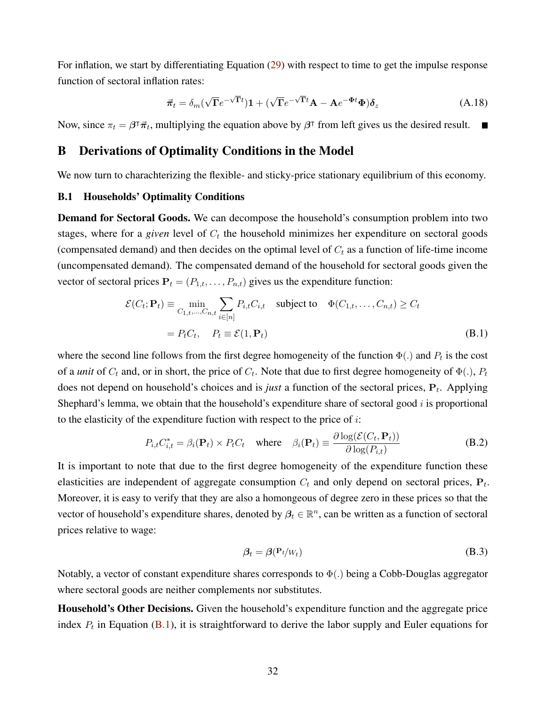For inflation, we start by differentiating Equation [\(29\)](#page-13-4) with respect to time to get the impulse response function of sectoral inflation rates:

$$
\vec{\pi}_t = \delta_m(\sqrt{\Gamma}e^{-\sqrt{\Gamma}t})\mathbf{1} + (\sqrt{\Gamma}e^{-\sqrt{\Gamma}t}\mathbf{A} - \mathbf{A}e^{-\Phi t}\Phi)\delta_z
$$
 (A.18)

<span id="page-32-0"></span>Now, since  $\pi_t = \beta^{\dagger} \vec{\pi}_t$ , multiplying the equation above by  $\beta^{\dagger}$  from left gives us the desired result.

## B Derivations of Optimality Conditions in the Model

We now turn to charachterizing the flexible- and sticky-price stationary equilibrium of this economy.

#### B.1 Households' Optimality Conditions

**Demand for Sectoral Goods.** We can decompose the household's consumption problem into two stages, where for a *given* level of  $C_t$  the household minimizes her expenditure on sectoral goods (compensated demand) and then decides on the optimal level of  $C_t$  as a function of life-time income (uncompensated demand). The compensated demand of the household for sectoral goods given the vector of sectoral prices  $P_t = (P_{1,t}, \ldots, P_{n,t})$  gives us the expenditure function:

$$
\mathcal{E}(C_t; \mathbf{P}_t) \equiv \min_{C_{1,t}, \dots, C_{n,t}} \sum_{i \in [n]} P_{i,t} C_{i,t} \quad \text{subject to} \quad \Phi(C_{1,t}, \dots, C_{n,t}) \ge C_t
$$

$$
= P_t C_t, \quad P_t \equiv \mathcal{E}(1, \mathbf{P}_t)
$$
(B.1)

where the second line follows from the first degree homogeneity of the function  $\Phi(.)$  and  $P_t$  is the cost of a *unit* of  $C_t$  and, or in short, the price of  $C_t$ . Note that due to first degree homogeneity of  $\Phi(.)$ ,  $P_t$ does not depend on household's choices and is *just* a function of the sectoral prices,  $P_t$ . Applying Shephard's lemma, we obtain that the household's expenditure share of sectoral good  $i$  is proportional to the elasticity of the expenditure fuction with respect to the price of  $i$ :

$$
P_{i,t}C_{i,t}^* = \beta_i(\mathbf{P}_t) \times P_t C_t \quad \text{where} \quad \beta_i(\mathbf{P}_t) \equiv \frac{\partial \log(\mathcal{E}(C_t, \mathbf{P}_t))}{\partial \log(P_{i,t})}
$$
(B.2)

It is important to note that due to the first degree homogeneity of the expenditure function these elasticities are independent of aggregate consumption  $C_t$  and only depend on sectoral prices,  $P_t$ . Moreover, it is easy to verify that they are also a homongeous of degree zero in these prices so that the vector of household's expenditure shares, denoted by  $\beta_t \in \mathbb{R}^n$ , can be written as a function of sectoral prices relative to wage:

<span id="page-32-2"></span><span id="page-32-1"></span>
$$
\beta_t = \beta(\mathbf{P}_t / W_t) \tag{B.3}
$$

Notably, a vector of constant expenditure shares corresponds to  $\Phi(.)$  being a Cobb-Douglas aggregator where sectoral goods are neither complements nor substitutes.

Household's Other Decisions. Given the household's expenditure function and the aggregate price index  $P_t$  in Equation [\(B.1\)](#page-32-1), it is straightforward to derive the labor supply and Euler equations for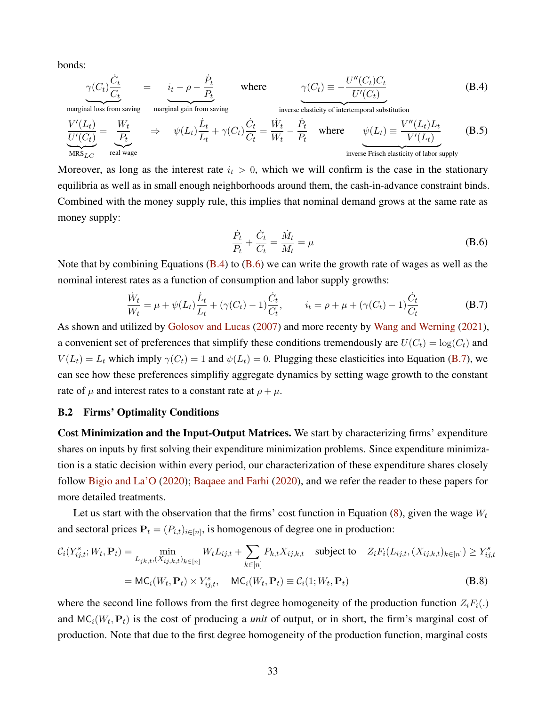bonds:

 $\widetilde{\mathrm{MRS}_{LC}}$ 

$$
\frac{\gamma(C_t)\frac{\dot{C}_t}{C_t}}{\text{marginal loss from saving}} = \underbrace{i_t - \rho - \frac{\dot{P}_t}{P_t}}_{\text{marginal gain from saving}} \quad \text{where} \quad \underbrace{\gamma(C_t)}_{\text{inverse elasticity of intertemporal substitution}} = \underbrace{V''(C_t)}_{\text{UV}(C_t)} = \underbrace{\frac{V''(L_t)}{P_t}}_{\text{MRS}_{LC}} = \underbrace{\frac{V'}(C_t)}{\frac{P_t}{P_t}} \Rightarrow \psi(L_t)\frac{\dot{L}_t}{L_t} + \gamma(C_t)\frac{\dot{C}_t}{C_t} = \frac{\dot{W}_t}{W_t} - \frac{\dot{P}_t}{P_t} \quad \text{where} \quad \psi(L_t) \equiv \frac{V''(L_t)L_t}{V'(L_t)} \quad \text{(B.5)}
$$
\n
$$
\underbrace{\text{mars}_{LC}}_{\text{mRS}_{LC}} = \underbrace{\text{real wage}}_{\text{real wage}} \quad \text{(B.6)}
$$

<span id="page-33-2"></span><span id="page-33-1"></span><span id="page-33-0"></span>inverse Frisch elasticity of labor supply

Moreover, as long as the interest rate  $i_t > 0$ , which we will confirm is the case in the stationary equilibria as well as in small enough neighborhoods around them, the cash-in-advance constraint binds. Combined with the money supply rule, this implies that nominal demand grows at the same rate as money supply:

$$
\frac{\dot{P}_t}{P_t} + \frac{\dot{C}_t}{C_t} = \frac{\dot{M}_t}{M_t} = \mu
$$
\n(B.6)

Note that by combining Equations  $(B.4)$  to  $(B.6)$  we can write the growth rate of wages as well as the nominal interest rates as a function of consumption and labor supply growths:

$$
\frac{\dot{W}_t}{W_t} = \mu + \psi(L_t)\frac{\dot{L}_t}{L_t} + (\gamma(C_t) - 1)\frac{\dot{C}_t}{C_t}, \qquad i_t = \rho + \mu + (\gamma(C_t) - 1)\frac{\dot{C}_t}{C_t}
$$
(B.7)

As shown and utilized by [Golosov and Lucas](#page-19-18) [\(2007\)](#page-19-18) and more recenty by [Wang and Werning](#page-19-7) [\(2021\)](#page-19-7), a convenient set of preferences that simplify these conditions tremendously are  $U(C_t) = \log(C_t)$  and  $V(L_t) = L_t$  which imply  $\gamma(C_t) = 1$  and  $\psi(L_t) = 0$ . Plugging these elasticities into Equation [\(B.7\)](#page-33-2), we can see how these preferences simplifiy aggregate dynamics by setting wage growth to the constant rate of  $\mu$  and interest rates to a constant rate at  $\rho + \mu$ .

#### B.2 Firms' Optimality Conditions

Cost Minimization and the Input-Output Matrices. We start by characterizing firms' expenditure shares on inputs by first solving their expenditure minimization problems. Since expenditure minimization is a static decision within every period, our characterization of these expenditure shares closely follow [Bigio and La'O](#page-19-10) [\(2020\)](#page-19-10); [Baqaee and Farhi](#page-19-9) [\(2020\)](#page-19-9), and we refer the reader to these papers for more detailed treatments.

Let us start with the observation that the firms' cost function in Equation [\(8\)](#page-6-0), given the wage  $W_t$ and sectoral prices  $P_t = (P_{i,t})_{i \in [n]}$ , is homogenous of degree one in production:

$$
C_i(Y_{ij,t}^s; W_t, \mathbf{P}_t) = \min_{L_{jk,t}, (X_{ij,k,t})_{k \in [n]} W_t L_{ij,t} + \sum_{k \in [n]} P_{k,t} X_{ij,k,t} \text{ subject to } Z_i F_i(L_{ij,t}, (X_{ij,k,t})_{k \in [n]}) \ge Y_{ij,t}^s
$$
  
= MC<sub>i</sub>(W<sub>t</sub>,  $\mathbf{P}_t$ ) × Y<sub>ij,t</sub>, MC<sub>i</sub>(W<sub>t</sub>,  $\mathbf{P}_t$ ) ≡ C<sub>i</sub>(1; W<sub>t</sub>,  $\mathbf{P}_t$ ) (B.8)

where the second line follows from the first degree homogeneity of the production function  $Z_iF_i(.)$ and  $MC_i(W_t, P_t)$  is the cost of producing a *unit* of output, or in short, the firm's marginal cost of production. Note that due to the first degree homogeneity of the production function, marginal costs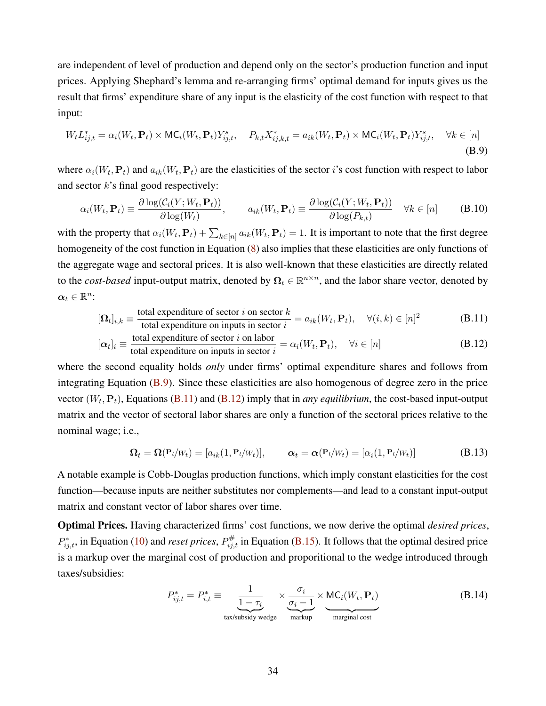are independent of level of production and depend only on the sector's production function and input prices. Applying Shephard's lemma and re-arranging firms' optimal demand for inputs gives us the result that firms' expenditure share of any input is the elasticity of the cost function with respect to that input:

$$
W_t L_{ij,t}^* = \alpha_i(W_t, \mathbf{P}_t) \times \mathsf{MC}_i(W_t, \mathbf{P}_t) Y_{ij,t}^s, \quad P_{k,t} X_{ij,k,t}^* = a_{ik}(W_t, \mathbf{P}_t) \times \mathsf{MC}_i(W_t, \mathbf{P}_t) Y_{ij,t}^s, \quad \forall k \in [n]
$$
\n(B.9)

where  $\alpha_i(W_t, P_t)$  and  $a_{ik}(W_t, P_t)$  are the elasticities of the sector *i*'s cost function with respect to labor and sector  $k$ 's final good respectively:

<span id="page-34-0"></span>
$$
\alpha_i(W_t, \mathbf{P}_t) \equiv \frac{\partial \log(\mathcal{C}_i(Y; W_t, \mathbf{P}_t))}{\partial \log(W_t)}, \qquad a_{ik}(W_t, \mathbf{P}_t) \equiv \frac{\partial \log(\mathcal{C}_i(Y; W_t, \mathbf{P}_t))}{\partial \log(P_{k,t})} \quad \forall k \in [n]
$$
 (B.10)

with the property that  $\alpha_i(W_t, \mathbf{P}_t) + \sum_{k \in [n]} a_{ik}(W_t, \mathbf{P}_t) = 1$ . It is important to note that the first degree homogeneity of the cost function in Equation [\(8\)](#page-6-0) also implies that these elasticities are only functions of the aggregate wage and sectoral prices. It is also well-known that these elasticities are directly related to the *cost-based* input-output matrix, denoted by  $\Omega_t \in \mathbb{R}^{n \times n}$ , and the labor share vector, denoted by  $\boldsymbol{\alpha}_t \in \mathbb{R}^n$ :

$$
[\mathbf{\Omega}_t]_{i,k} \equiv \frac{\text{total expenditure of sector } i \text{ on sector } k}{\text{total expenditure on inputs in sector } i} = a_{ik}(W_t, \mathbf{P}_t), \quad \forall (i,k) \in [n]^2
$$
 (B.11)

$$
[\alpha_t]_i \equiv \frac{\text{total expenditure of sector } i \text{ on labor}}{\text{total expenditure on inputs in sector } i} = \alpha_i(W_t, \mathbf{P}_t), \quad \forall i \in [n]
$$
 (B.12)

where the second equality holds *only* under firms' optimal expenditure shares and follows from integrating Equation [\(B.9\)](#page-34-0). Since these elasticities are also homogenous of degree zero in the price vector  $(W_t, P_t)$ , Equations [\(B.11\)](#page-34-1) and [\(B.12\)](#page-34-2) imply that in *any equilibrium*, the cost-based input-output matrix and the vector of sectoral labor shares are only a function of the sectoral prices relative to the nominal wage; i.e.,

<span id="page-34-2"></span><span id="page-34-1"></span>
$$
\mathbf{\Omega}_t = \mathbf{\Omega}(\mathbf{P}_t|W_t) = [a_{ik}(1, \mathbf{P}_t|W_t)], \qquad \mathbf{\alpha}_t = \mathbf{\alpha}(\mathbf{P}_t|W_t) = [\alpha_i(1, \mathbf{P}_t|W_t)]
$$
(B.13)

A notable example is Cobb-Douglas production functions, which imply constant elasticities for the cost function—because inputs are neither substitutes nor complements—and lead to a constant input-output matrix and constant vector of labor shares over time.

Optimal Prices. Having characterized firms' cost functions, we now derive the optimal *desired prices*,  $P_{ij,t}^*$ , in Equation [\(10\)](#page-7-3) and *reset prices*,  $P_{ij,t}^{\#}$  in Equation [\(B.15\)](#page-35-0). It follows that the optimal desired price is a markup over the marginal cost of production and proporitional to the wedge introduced through taxes/subsidies:

$$
P_{ij,t}^{*} = P_{i,t}^{*} \equiv \underbrace{\frac{1}{1 - \tau_i}}_{\text{tax/subsidy wedge}} \times \underbrace{\frac{\sigma_i}{\sigma_i - 1}}_{\text{markup}} \times \underbrace{\text{MC}_i(W_t, \mathbf{P}_t)}_{\text{marginal cost}}
$$
(B.14)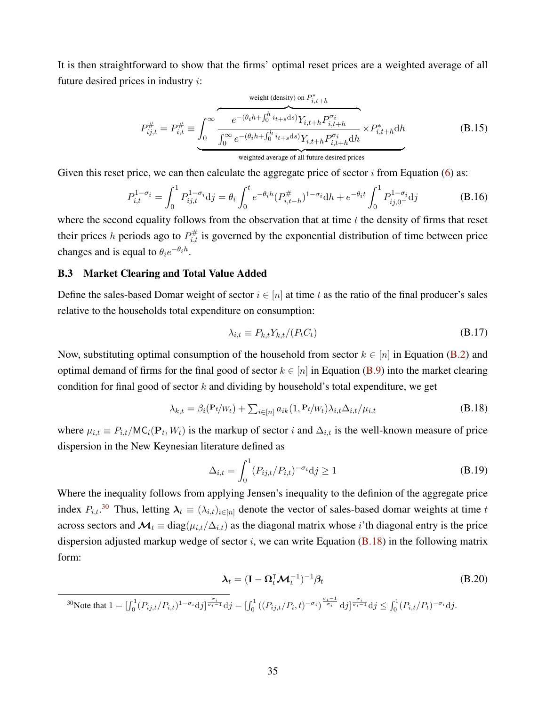It is then straightforward to show that the firms' optimal reset prices are a weighted average of all future desired prices in industry  $i$ :

$$
P_{ij,t}^{\#} = P_{i,t}^{\#} \equiv \underbrace{\int_0^\infty \underbrace{e^{-(\theta_i h + \int_0^h i_{t+s} ds)} Y_{i,t+h} P_{i,t+h}^{\sigma_i}}_{\text{weighted average of all future desired prices}} \times P_{i,t+h}^* dh} \times P_{i,t+h}^* dh
$$
\n(B.15)

Given this reset price, we can then calculate the aggregate price of sector  $i$  from Equation [\(6\)](#page-6-1) as:

$$
P_{i,t}^{1-\sigma_i} = \int_0^1 P_{ij,t}^{1-\sigma_i} \mathrm{d}j = \theta_i \int_0^t e^{-\theta_i h} (P_{i,t-h}^{\#})^{1-\sigma_i} \mathrm{d}h + e^{-\theta_i t} \int_0^1 P_{ij,0}^{1-\sigma_i} \mathrm{d}j \tag{B.16}
$$

where the second equality follows from the observation that at time  $t$  the density of firms that reset their prices h periods ago to  $P_{i,t}^{\#}$  is governed by the exponential distribution of time between price changes and is equal to  $\theta_i e^{-\theta_i h}$ .

## B.3 Market Clearing and Total Value Added

Define the sales-based Domar weight of sector  $i \in [n]$  at time t as the ratio of the final producer's sales relative to the households total expenditure on consumption:

<span id="page-35-2"></span><span id="page-35-0"></span>
$$
\lambda_{i,t} \equiv P_{k,t} Y_{k,t} / (P_t C_t) \tag{B.17}
$$

Now, substituting optimal consumption of the household from sector  $k \in [n]$  in Equation [\(B.2\)](#page-32-2) and optimal demand of firms for the final good of sector  $k \in [n]$  in Equation [\(B.9\)](#page-34-0) into the market clearing condition for final good of sector  $k$  and dividing by household's total expenditure, we get

$$
\lambda_{k,t} = \beta_i (\mathbf{P}_t / w_t) + \sum_{i \in [n]} a_{ik} (1, \mathbf{P}_t / w_t) \lambda_{i,t} \Delta_{i,t} / \mu_{i,t}
$$
\n(B.18)

where  $\mu_{i,t} \equiv P_{i,t}/MC_i(\mathbf{P}_t, W_t)$  is the markup of sector i and  $\Delta_{i,t}$  is the well-known measure of price dispersion in the New Keynesian literature defined as

$$
\Delta_{i,t} = \int_0^1 (P_{ij,t}/P_{i,t})^{-\sigma_i} \mathrm{d}j \ge 1 \tag{B.19}
$$

Where the inequality follows from applying Jensen's inequality to the definion of the aggregate price index  $P_{i,t}$ .<sup>[30](#page-35-1)</sup> Thus, letting  $\lambda_t \equiv (\lambda_{i,t})_{i \in [n]}$  denote the vector of sales-based domar weights at time t across sectors and  $\mathcal{M}_t \equiv \text{diag}(\mu_{i,t}/\Delta_{i,t})$  as the diagonal matrix whose *i*'th diagonal entry is the price dispersion adjusted markup wedge of sector i, we can write Equation  $(B.18)$  in the following matrix form:

$$
\lambda_t = (\mathbf{I} - \mathbf{\Omega}_t^{\mathsf{T}} \mathcal{M}_t^{-1})^{-1} \beta_t \tag{B.20}
$$

<span id="page-35-1"></span>30 Note that  $1 = [\int_0^1 (P_{ij,t}/P_{i,t})^{1-\sigma_i} dy]_0^{\frac{\sigma_i}{\sigma_i-1}} dy = [\int_0^1 ((P_{ij,t}/P_{i}, t)^{-\sigma_i})^{\frac{\sigma_i-1}{\sigma_i}} dy]_0^{\frac{\sigma_i}{\sigma_i-1}} dy \leq \int_0^1 (P_{i,t}/P_{t})^{-\sigma_i} dy.$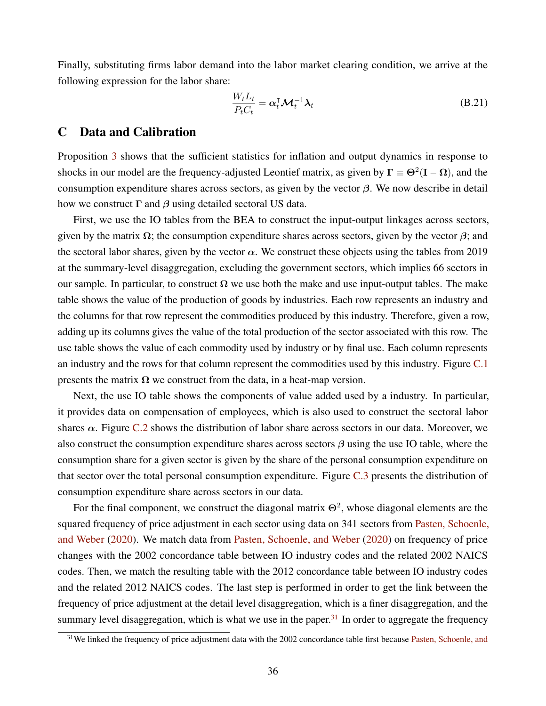Finally, substituting firms labor demand into the labor market clearing condition, we arrive at the following expression for the labor share:

$$
\frac{W_t L_t}{P_t C_t} = \alpha_t^{\mathsf{T}} \mathcal{M}_t^{-1} \lambda_t
$$
\n(B.21)

## <span id="page-36-0"></span>C Data and Calibration

Proposition [3](#page-13-2) shows that the sufficient statistics for inflation and output dynamics in response to shocks in our model are the frequency-adjusted Leontief matrix, as given by  $\Gamma \equiv \Theta^2(I - \Omega)$ , and the consumption expenditure shares across sectors, as given by the vector  $\beta$ . We now describe in detail how we construct  $\Gamma$  and  $\beta$  using detailed sectoral US data.

First, we use the IO tables from the BEA to construct the input-output linkages across sectors, given by the matrix  $\Omega$ ; the consumption expenditure shares across sectors, given by the vector  $\beta$ ; and the sectoral labor shares, given by the vector  $\alpha$ . We construct these objects using the tables from 2019 at the summary-level disaggregation, excluding the government sectors, which implies 66 sectors in our sample. In particular, to construct  $\Omega$  we use both the make and use input-output tables. The make table shows the value of the production of goods by industries. Each row represents an industry and the columns for that row represent the commodities produced by this industry. Therefore, given a row, adding up its columns gives the value of the total production of the sector associated with this row. The use table shows the value of each commodity used by industry or by final use. Each column represents an industry and the rows for that column represent the commodities used by this industry. Figure [C.1](#page-37-0) presents the matrix  $\Omega$  we construct from the data, in a heat-map version.

Next, the use IO table shows the components of value added used by a industry. In particular, it provides data on compensation of employees, which is also used to construct the sectoral labor shares  $\alpha$ . Figure [C.2](#page-38-0) shows the distribution of labor share across sectors in our data. Moreover, we also construct the consumption expenditure shares across sectors  $\beta$  using the use IO table, where the consumption share for a given sector is given by the share of the personal consumption expenditure on that sector over the total personal consumption expenditure. Figure [C.3](#page-39-0) presents the distribution of consumption expenditure share across sectors in our data.

For the final component, we construct the diagonal matrix  $\Theta^2$ , whose diagonal elements are the squared frequency of price adjustment in each sector using data on 341 sectors from [Pasten, Schoenle,](#page-19-4) [and Weber](#page-19-4) [\(2020\)](#page-19-4). We match data from [Pasten, Schoenle, and Weber](#page-19-4) [\(2020\)](#page-19-4) on frequency of price changes with the 2002 concordance table between IO industry codes and the related 2002 NAICS codes. Then, we match the resulting table with the 2012 concordance table between IO industry codes and the related 2012 NAICS codes. The last step is performed in order to get the link between the frequency of price adjustment at the detail level disaggregation, which is a finer disaggregation, and the summary level disaggregation, which is what we use in the paper.<sup>[31](#page-36-1)</sup> In order to aggregate the frequency

<span id="page-36-1"></span> $31$ We linked the frequency of price adjustment data with the 2002 concordance table first because [Pasten, Schoenle, and](#page-19-4)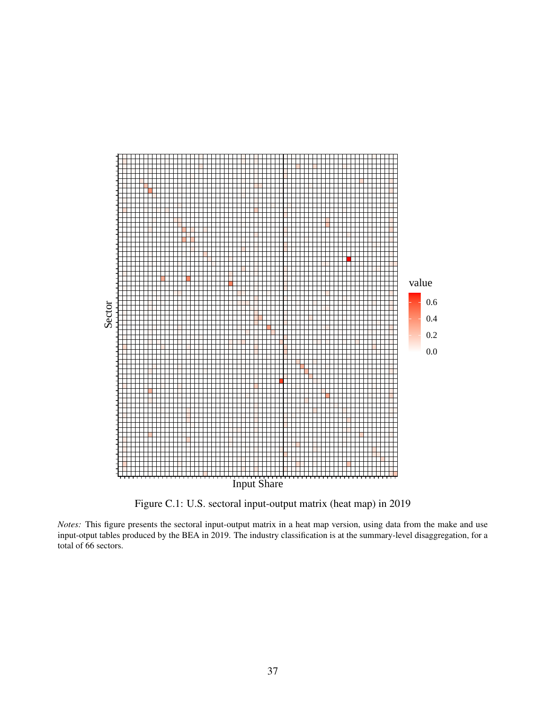<span id="page-37-0"></span>

Figure C.1: U.S. sectoral input-output matrix (heat map) in 2019

*Notes:* This figure presents the sectoral input-output matrix in a heat map version, using data from the make and use input-otput tables produced by the BEA in 2019. The industry classification is at the summary-level disaggregation, for a total of 66 sectors.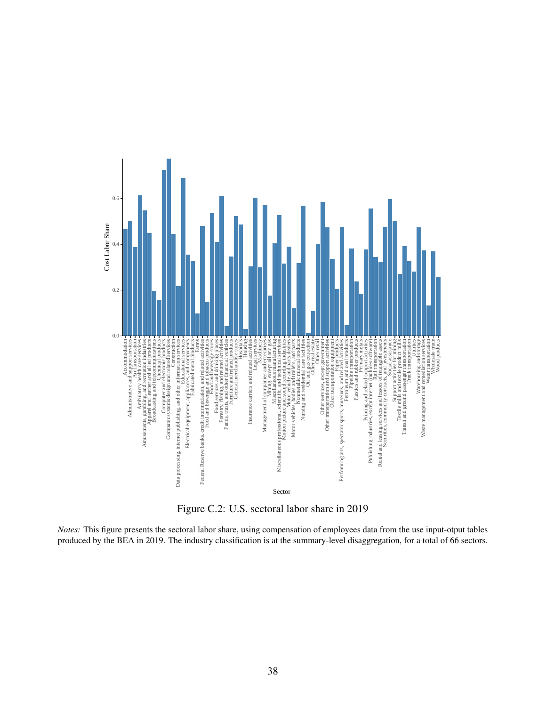<span id="page-38-0"></span>

Figure C.2: U.S. sectoral labor share in 2019

*Notes:* This figure presents the sectoral labor share, using compensation of employees data from the use input-otput tables produced by the BEA in 2019. The industry classification is at the summary-level disaggregation, for a total of 66 sectors.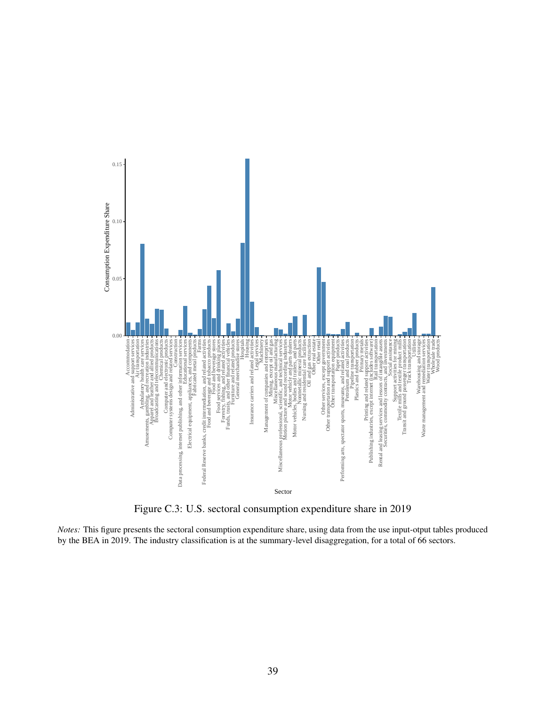<span id="page-39-0"></span>

Figure C.3: U.S. sectoral consumption expenditure share in 2019

*Notes:* This figure presents the sectoral consumption expenditure share, using data from the use input-otput tables produced by the BEA in 2019. The industry classification is at the summary-level disaggregation, for a total of 66 sectors.